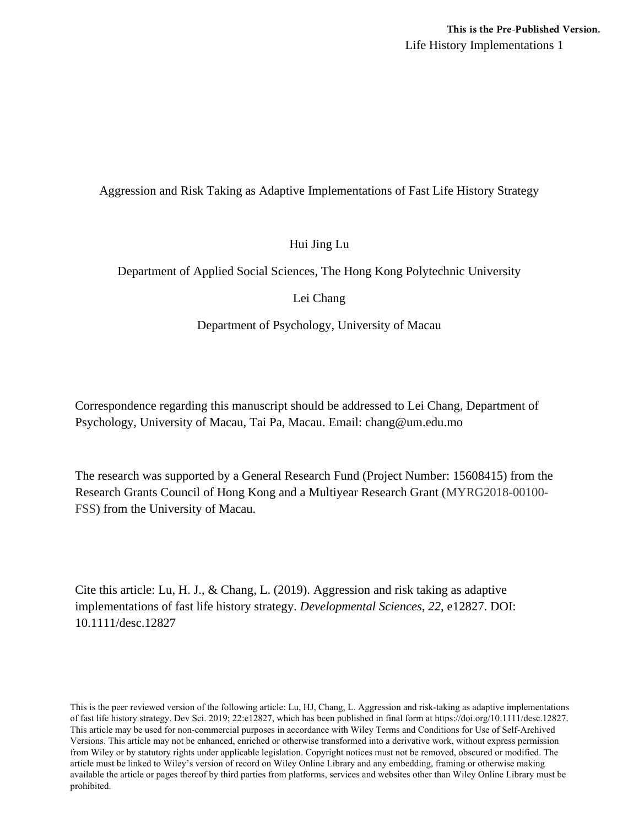Life History Implementations 1 **This is the Pre-Published Version.**

Aggression and Risk Taking as Adaptive Implementations of Fast Life History Strategy

# Hui Jing Lu

Department of Applied Social Sciences, The Hong Kong Polytechnic University

# Lei Chang

Department of Psychology, University of Macau

Correspondence regarding this manuscript should be addressed to Lei Chang, Department of Psychology, University of Macau, Tai Pa, Macau. Email: chang@um.edu.mo

The research was supported by a General Research Fund (Project Number: 15608415) from the Research Grants Council of Hong Kong and a Multiyear Research Grant (MYRG2018-00100- FSS) from the University of Macau.

Cite this article: Lu, H. J., & Chang, L. (2019). Aggression and risk taking as adaptive implementations of fast life history strategy. *Developmental Sciences*, *22*, e12827. DOI: 10.1111/desc.12827

This is the peer reviewed version of the following article: Lu, HJ, Chang, L. Aggression and risk-taking as adaptive implementations of fast life history strategy. Dev Sci. 2019; 22:e12827, which has been published in final form at https://doi.org/10.1111/desc.12827. This article may be used for non-commercial purposes in accordance with Wiley Terms and Conditions for Use of Self-Archived Versions. This article may not be enhanced, enriched or otherwise transformed into a derivative work, without express permission from Wiley or by statutory rights under applicable legislation. Copyright notices must not be removed, obscured or modified. The article must be linked to Wiley's version of record on Wiley Online Library and any embedding, framing or otherwise making available the article or pages thereof by third parties from platforms, services and websites other than Wiley Online Library must be prohibited.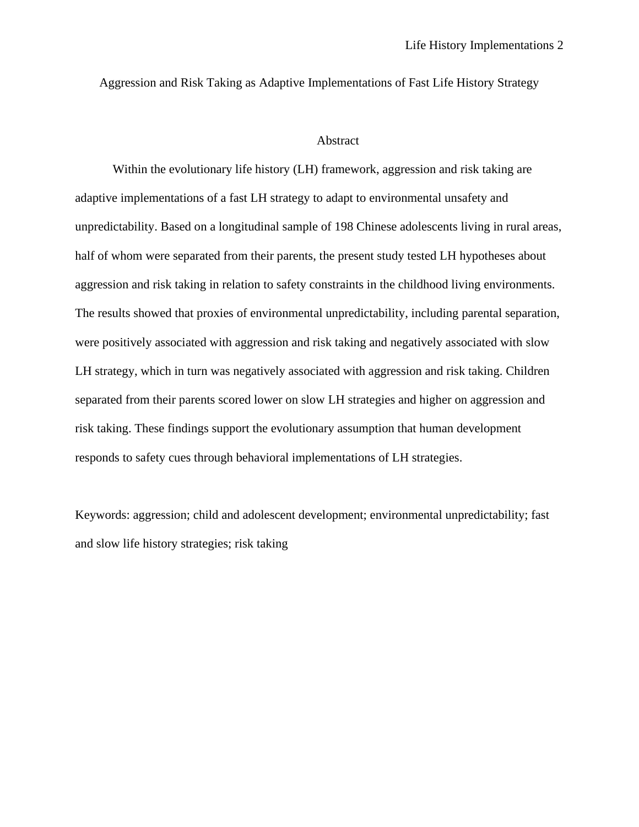Aggression and Risk Taking as Adaptive Implementations of Fast Life History Strategy

## Abstract

Within the evolutionary life history (LH) framework, aggression and risk taking are adaptive implementations of a fast LH strategy to adapt to environmental unsafety and unpredictability. Based on a longitudinal sample of 198 Chinese adolescents living in rural areas, half of whom were separated from their parents, the present study tested LH hypotheses about aggression and risk taking in relation to safety constraints in the childhood living environments. The results showed that proxies of environmental unpredictability, including parental separation, were positively associated with aggression and risk taking and negatively associated with slow LH strategy, which in turn was negatively associated with aggression and risk taking. Children separated from their parents scored lower on slow LH strategies and higher on aggression and risk taking. These findings support the evolutionary assumption that human development responds to safety cues through behavioral implementations of LH strategies.

Keywords: aggression; child and adolescent development; environmental unpredictability; fast and slow life history strategies; risk taking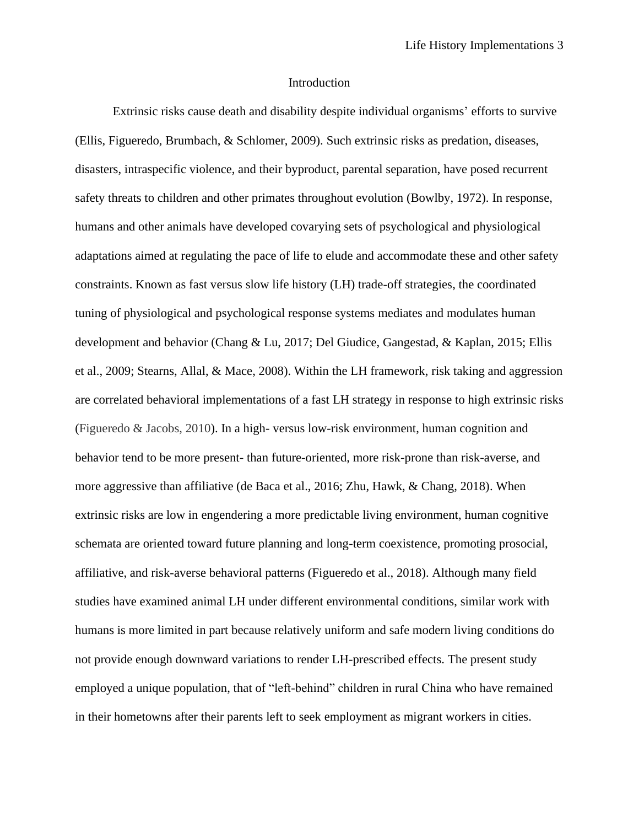### Introduction

Extrinsic risks cause death and disability despite individual organisms' efforts to survive (Ellis, Figueredo, Brumbach, & Schlomer, 2009). Such extrinsic risks as predation, diseases, disasters, intraspecific violence, and their byproduct, parental separation, have posed recurrent safety threats to children and other primates throughout evolution (Bowlby, 1972). In response, humans and other animals have developed covarying sets of psychological and physiological adaptations aimed at regulating the pace of life to elude and accommodate these and other safety constraints. Known as fast versus slow life history (LH) trade-off strategies, the coordinated tuning of physiological and psychological response systems mediates and modulates human development and behavior (Chang & Lu, 2017; Del Giudice, Gangestad, & Kaplan, 2015; Ellis et al., 2009; Stearns, Allal, & Mace, 2008). Within the LH framework, risk taking and aggression are correlated behavioral implementations of a fast LH strategy in response to high extrinsic risks (Figueredo & Jacobs, 2010). In a high- versus low-risk environment, human cognition and behavior tend to be more present- than future-oriented, more risk-prone than risk-averse, and more aggressive than affiliative (de Baca et al., 2016; Zhu, Hawk, & Chang, 2018). When extrinsic risks are low in engendering a more predictable living environment, human cognitive schemata are oriented toward future planning and long-term coexistence, promoting prosocial, affiliative, and risk-averse behavioral patterns (Figueredo et al., 2018). Although many field studies have examined animal LH under different environmental conditions, similar work with humans is more limited in part because relatively uniform and safe modern living conditions do not provide enough downward variations to render LH-prescribed effects. The present study employed a unique population, that of "left-behind" children in rural China who have remained in their hometowns after their parents left to seek employment as migrant workers in cities.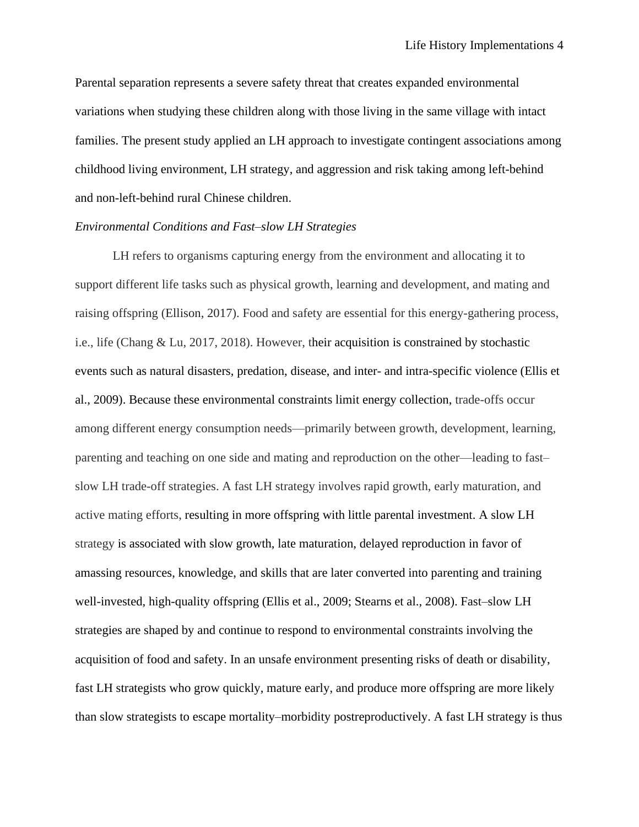Parental separation represents a severe safety threat that creates expanded environmental variations when studying these children along with those living in the same village with intact families. The present study applied an LH approach to investigate contingent associations among childhood living environment, LH strategy, and aggression and risk taking among left-behind and non-left-behind rural Chinese children.

### *Environmental Conditions and Fast–slow LH Strategies*

LH refers to organisms capturing energy from the environment and allocating it to support different life tasks such as physical growth, learning and development, and mating and raising offspring (Ellison, 2017). Food and safety are essential for this energy-gathering process, i.e., life (Chang & Lu, 2017, 2018). However, their acquisition is constrained by stochastic events such as natural disasters, predation, disease, and inter- and intra-specific violence (Ellis et al., 2009). Because these environmental constraints limit energy collection, trade-offs occur among different energy consumption needs—primarily between growth, development, learning, parenting and teaching on one side and mating and reproduction on the other—leading to fast– slow LH trade-off strategies. A fast LH strategy involves rapid growth, early maturation, and active mating efforts, resulting in more offspring with little parental investment. A slow LH strategy is associated with slow growth, late maturation, delayed reproduction in favor of amassing resources, knowledge, and skills that are later converted into parenting and training well-invested, high-quality offspring (Ellis et al., 2009; Stearns et al., 2008). Fast–slow LH strategies are shaped by and continue to respond to environmental constraints involving the acquisition of food and safety. In an unsafe environment presenting risks of death or disability, fast LH strategists who grow quickly, mature early, and produce more offspring are more likely than slow strategists to escape mortality–morbidity postreproductively. A fast LH strategy is thus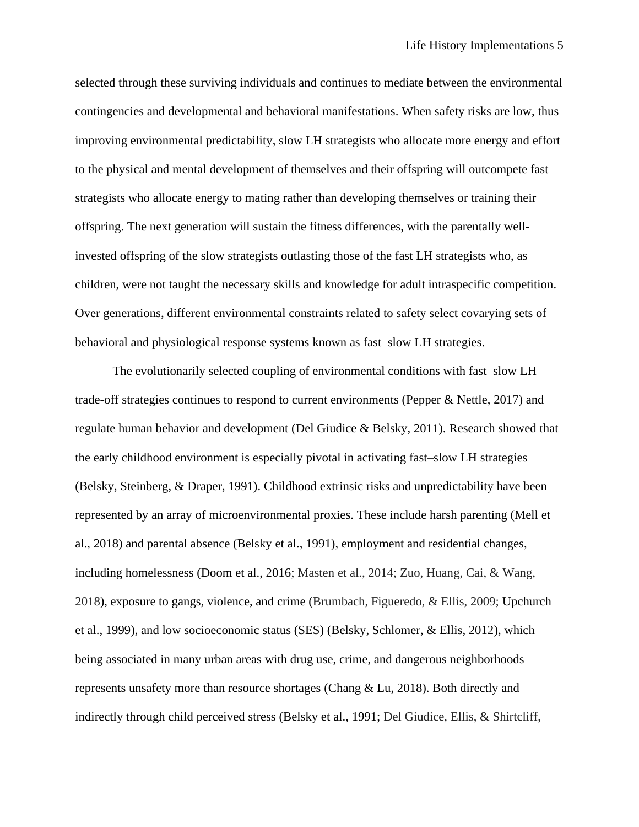selected through these surviving individuals and continues to mediate between the environmental contingencies and developmental and behavioral manifestations. When safety risks are low, thus improving environmental predictability, slow LH strategists who allocate more energy and effort to the physical and mental development of themselves and their offspring will outcompete fast strategists who allocate energy to mating rather than developing themselves or training their offspring. The next generation will sustain the fitness differences, with the parentally wellinvested offspring of the slow strategists outlasting those of the fast LH strategists who, as children, were not taught the necessary skills and knowledge for adult intraspecific competition. Over generations, different environmental constraints related to safety select covarying sets of behavioral and physiological response systems known as fast–slow LH strategies.

The evolutionarily selected coupling of environmental conditions with fast–slow LH trade-off strategies continues to respond to current environments (Pepper & Nettle, 2017) and regulate human behavior and development (Del Giudice & Belsky, 2011). Research showed that the early childhood environment is especially pivotal in activating fast–slow LH strategies (Belsky, Steinberg, & Draper, 1991). Childhood extrinsic risks and unpredictability have been represented by an array of microenvironmental proxies. These include harsh parenting (Mell et al., 2018) and parental absence (Belsky et al., 1991), employment and residential changes, including homelessness (Doom et al., 2016; Masten et al., 2014; Zuo, Huang, Cai, & Wang, 2018), exposure to gangs, violence, and crime (Brumbach, Figueredo, & Ellis, 2009; Upchurch et al., 1999), and low socioeconomic status (SES) (Belsky, Schlomer, & Ellis, 2012), which being associated in many urban areas with drug use, crime, and dangerous neighborhoods represents unsafety more than resource shortages (Chang & Lu, 2018). Both directly and indirectly through child perceived stress (Belsky et al., 1991; Del Giudice, Ellis, & Shirtcliff,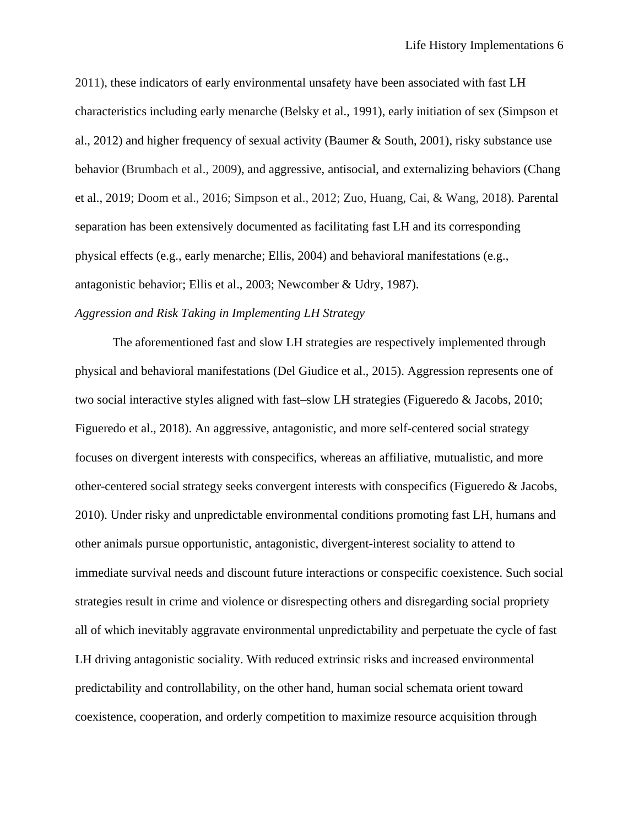2011), these indicators of early environmental unsafety have been associated with fast LH characteristics including early menarche (Belsky et al., 1991), early initiation of sex (Simpson et al., 2012) and higher frequency of sexual activity (Baumer & South, 2001), risky substance use behavior (Brumbach et al., 2009), and aggressive, antisocial, and externalizing behaviors (Chang et al., 2019; Doom et al., 2016; Simpson et al., 2012; Zuo, Huang, Cai, & Wang, 2018). Parental separation has been extensively documented as facilitating fast LH and its corresponding physical effects (e.g., early menarche; Ellis, 2004) and behavioral manifestations (e.g., antagonistic behavior; Ellis et al., 2003; Newcomber & Udry, 1987).

# *Aggression and Risk Taking in Implementing LH Strategy*

The aforementioned fast and slow LH strategies are respectively implemented through physical and behavioral manifestations (Del Giudice et al., 2015). Aggression represents one of two social interactive styles aligned with fast–slow LH strategies (Figueredo & Jacobs, 2010; Figueredo et al., 2018). An aggressive, antagonistic, and more self-centered social strategy focuses on divergent interests with conspecifics, whereas an affiliative, mutualistic, and more other-centered social strategy seeks convergent interests with conspecifics (Figueredo & Jacobs, 2010). Under risky and unpredictable environmental conditions promoting fast LH, humans and other animals pursue opportunistic, antagonistic, divergent-interest sociality to attend to immediate survival needs and discount future interactions or conspecific coexistence. Such social strategies result in crime and violence or disrespecting others and disregarding social propriety all of which inevitably aggravate environmental unpredictability and perpetuate the cycle of fast LH driving antagonistic sociality. With reduced extrinsic risks and increased environmental predictability and controllability, on the other hand, human social schemata orient toward coexistence, cooperation, and orderly competition to maximize resource acquisition through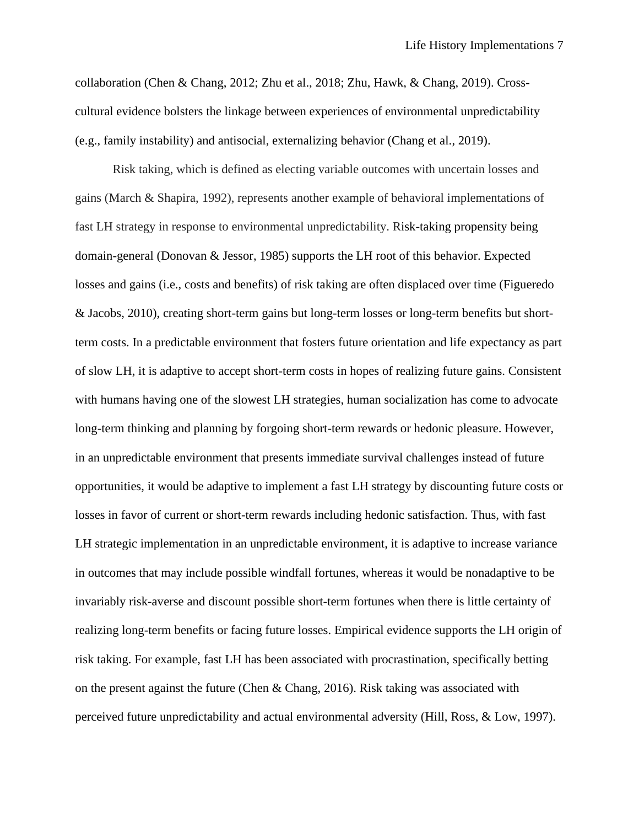collaboration (Chen & Chang, 2012; Zhu et al., 2018; Zhu, Hawk, & Chang, 2019). Crosscultural evidence bolsters the linkage between experiences of environmental unpredictability (e.g., family instability) and antisocial, externalizing behavior (Chang et al., 2019).

Risk taking, which is defined as electing variable outcomes with uncertain losses and gains (March & Shapira, 1992), represents another example of behavioral implementations of fast LH strategy in response to environmental unpredictability. Risk-taking propensity being domain-general (Donovan & Jessor, 1985) supports the LH root of this behavior. Expected losses and gains (i.e., costs and benefits) of risk taking are often displaced over time (Figueredo & Jacobs, 2010), creating short-term gains but long-term losses or long-term benefits but shortterm costs. In a predictable environment that fosters future orientation and life expectancy as part of slow LH, it is adaptive to accept short-term costs in hopes of realizing future gains. Consistent with humans having one of the slowest LH strategies, human socialization has come to advocate long-term thinking and planning by forgoing short-term rewards or hedonic pleasure. However, in an unpredictable environment that presents immediate survival challenges instead of future opportunities, it would be adaptive to implement a fast LH strategy by discounting future costs or losses in favor of current or short-term rewards including hedonic satisfaction. Thus, with fast LH strategic implementation in an unpredictable environment, it is adaptive to increase variance in outcomes that may include possible windfall fortunes, whereas it would be nonadaptive to be invariably risk-averse and discount possible short-term fortunes when there is little certainty of realizing long-term benefits or facing future losses. Empirical evidence supports the LH origin of risk taking. For example, fast LH has been associated with procrastination, specifically betting on the present against the future (Chen & Chang, 2016). Risk taking was associated with perceived future unpredictability and actual environmental adversity (Hill, Ross, & Low, 1997).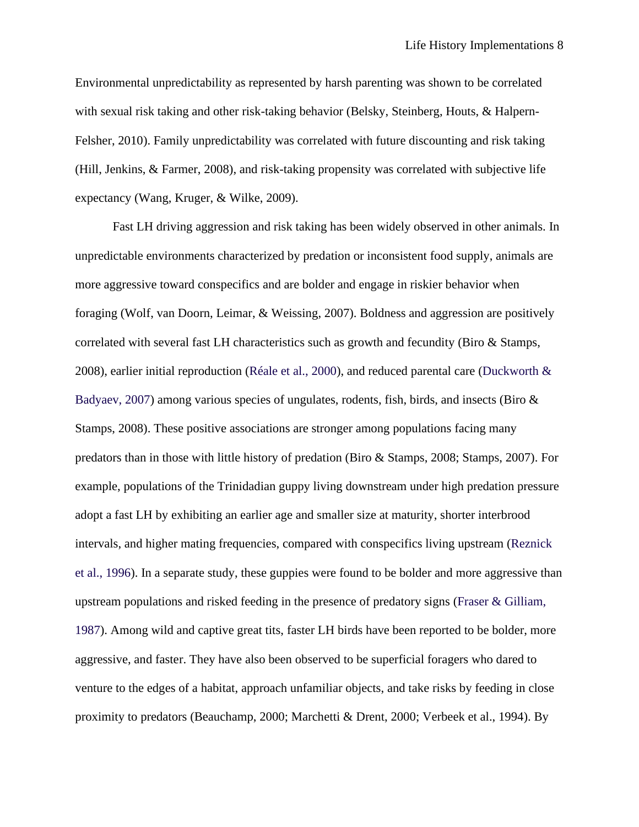Environmental unpredictability as represented by harsh parenting was shown to be correlated with sexual risk taking and other risk-taking behavior (Belsky, Steinberg, Houts, & Halpern-Felsher, 2010). Family unpredictability was correlated with future discounting and risk taking (Hill, Jenkins, & Farmer, 2008), and risk-taking propensity was correlated with subjective life expectancy (Wang, Kruger, & Wilke, 2009).

Fast LH driving aggression and risk taking has been widely observed in other animals. In unpredictable environments characterized by predation or inconsistent food supply, animals are more aggressive toward conspecifics and are bolder and engage in riskier behavior when foraging (Wolf, van Doorn, Leimar, & Weissing, 2007). Boldness and aggression are positively correlated with several fast LH characteristics such as growth and fecundity (Biro & Stamps, 2008), earlier initial reproduction (Réale et al., 2000), and reduced parental care (Duckworth & Badyaev, 2007) among various species of ungulates, rodents, fish, birds, and insects (Biro & Stamps, 2008). These positive associations are stronger among populations facing many predators than in those with little history of predation (Biro & Stamps, 2008; Stamps, 2007). For example, populations of the Trinidadian guppy living downstream under high predation pressure adopt a fast LH by exhibiting an earlier age and smaller size at maturity, shorter interbrood intervals, and higher mating frequencies, compared with conspecifics living upstream (Reznick et al., 1996). In a separate study, these guppies were found to be bolder and more aggressive than upstream populations and risked feeding in the presence of predatory signs (Fraser & Gilliam, 1987). Among wild and captive great tits, faster LH birds have been reported to be bolder, more aggressive, and faster. They have also been observed to be superficial foragers who dared to venture to the edges of a habitat, approach unfamiliar objects, and take risks by feeding in close proximity to predators (Beauchamp, 2000; Marchetti & Drent, 2000; Verbeek et al., 1994). By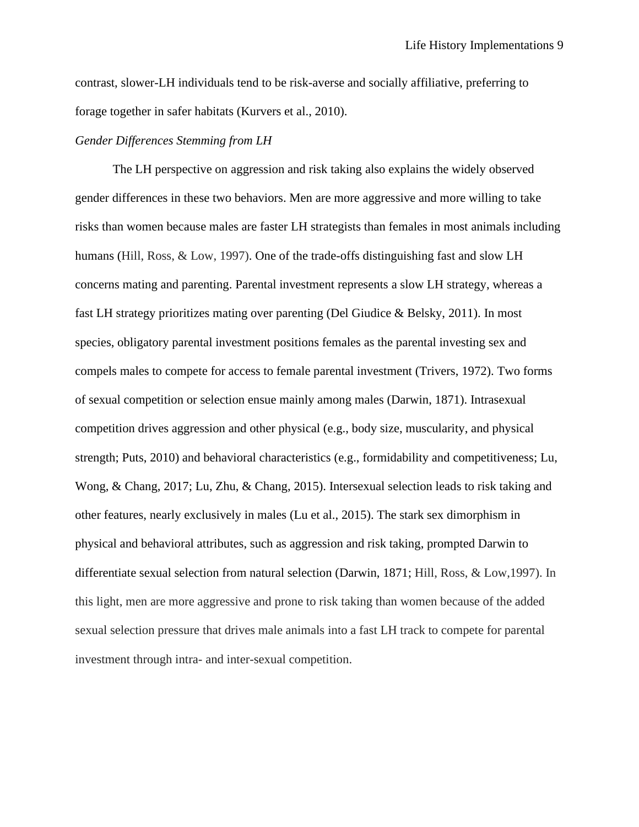contrast, slower-LH individuals tend to be risk-averse and socially affiliative, preferring to forage together in safer habitats (Kurvers et al., 2010).

## *Gender Differences Stemming from LH*

The LH perspective on aggression and risk taking also explains the widely observed gender differences in these two behaviors. Men are more aggressive and more willing to take risks than women because males are faster LH strategists than females in most animals including humans (Hill, Ross, & Low, 1997). One of the trade-offs distinguishing fast and slow LH concerns mating and parenting. Parental investment represents a slow LH strategy, whereas a fast LH strategy prioritizes mating over parenting (Del Giudice & Belsky, 2011). In most species, obligatory parental investment positions females as the parental investing sex and compels males to compete for access to female parental investment (Trivers, 1972). Two forms of sexual competition or selection ensue mainly among males (Darwin, 1871). Intrasexual competition drives aggression and other physical (e.g., body size, muscularity, and physical strength; Puts, 2010) and behavioral characteristics (e.g., formidability and competitiveness; Lu, Wong, & Chang, 2017; Lu, Zhu, & Chang, 2015). Intersexual selection leads to risk taking and other features, nearly exclusively in males (Lu et al., 2015). The stark sex dimorphism in physical and behavioral attributes, such as aggression and risk taking, prompted Darwin to differentiate sexual selection from natural selection (Darwin, 1871; Hill, Ross, & Low,1997). In this light, men are more aggressive and prone to risk taking than women because of the added sexual selection pressure that drives male animals into a fast LH track to compete for parental investment through intra- and inter-sexual competition.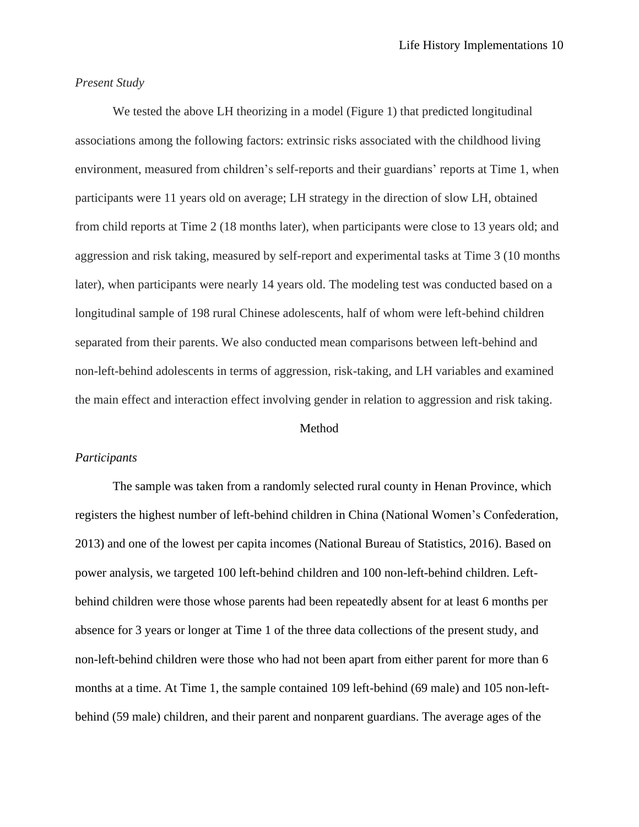# *Present Study*

We tested the above LH theorizing in a model (Figure 1) that predicted longitudinal associations among the following factors: extrinsic risks associated with the childhood living environment, measured from children's self-reports and their guardians' reports at Time 1, when participants were 11 years old on average; LH strategy in the direction of slow LH, obtained from child reports at Time 2 (18 months later), when participants were close to 13 years old; and aggression and risk taking, measured by self-report and experimental tasks at Time 3 (10 months later), when participants were nearly 14 years old. The modeling test was conducted based on a longitudinal sample of 198 rural Chinese adolescents, half of whom were left-behind children separated from their parents. We also conducted mean comparisons between left-behind and non-left-behind adolescents in terms of aggression, risk-taking, and LH variables and examined the main effect and interaction effect involving gender in relation to aggression and risk taking.

#### Method

### *Participants*

The sample was taken from a randomly selected rural county in Henan Province, which registers the highest number of left-behind children in China (National Women's Confederation, 2013) and one of the lowest per capita incomes (National Bureau of Statistics, 2016). Based on power analysis, we targeted 100 left-behind children and 100 non-left-behind children. Leftbehind children were those whose parents had been repeatedly absent for at least 6 months per absence for 3 years or longer at Time 1 of the three data collections of the present study, and non-left-behind children were those who had not been apart from either parent for more than 6 months at a time. At Time 1, the sample contained 109 left-behind (69 male) and 105 non-leftbehind (59 male) children, and their parent and nonparent guardians. The average ages of the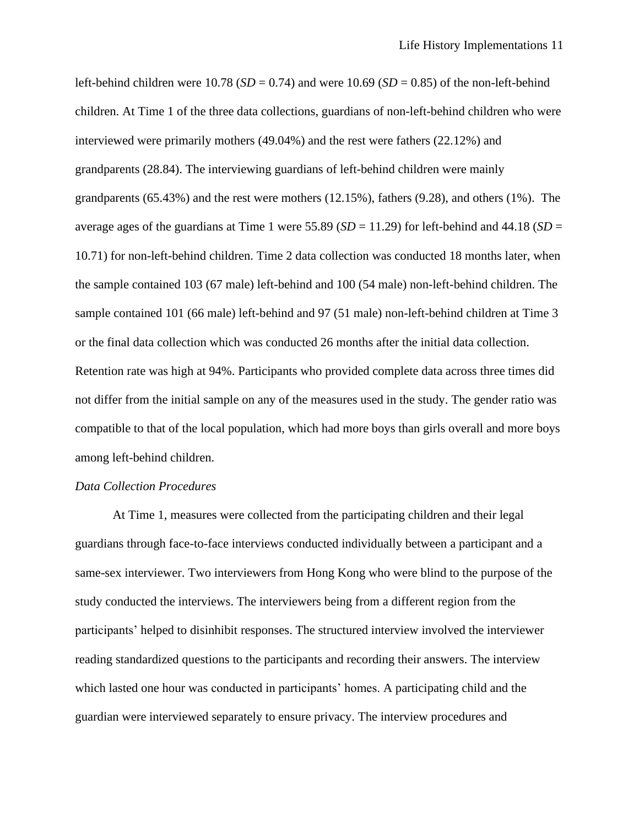left-behind children were  $10.78$  (*SD* = 0.74) and were  $10.69$  (*SD* = 0.85) of the non-left-behind children. At Time 1 of the three data collections, guardians of non-left-behind children who were interviewed were primarily mothers (49.04%) and the rest were fathers (22.12%) and grandparents (28.84). The interviewing guardians of left-behind children were mainly grandparents (65.43%) and the rest were mothers (12.15%), fathers (9.28), and others (1%). The average ages of the guardians at Time 1 were 55.89 ( $SD = 11.29$ ) for left-behind and 44.18 ( $SD =$ 10.71) for non-left-behind children. Time 2 data collection was conducted 18 months later, when the sample contained 103 (67 male) left-behind and 100 (54 male) non-left-behind children. The sample contained 101 (66 male) left-behind and 97 (51 male) non-left-behind children at Time 3 or the final data collection which was conducted 26 months after the initial data collection. Retention rate was high at 94%. Participants who provided complete data across three times did not differ from the initial sample on any of the measures used in the study. The gender ratio was compatible to that of the local population, which had more boys than girls overall and more boys among left-behind children.

#### *Data Collection Procedures*

At Time 1, measures were collected from the participating children and their legal guardians through face-to-face interviews conducted individually between a participant and a same-sex interviewer. Two interviewers from Hong Kong who were blind to the purpose of the study conducted the interviews. The interviewers being from a different region from the participants' helped to disinhibit responses. The structured interview involved the interviewer reading standardized questions to the participants and recording their answers. The interview which lasted one hour was conducted in participants' homes. A participating child and the guardian were interviewed separately to ensure privacy. The interview procedures and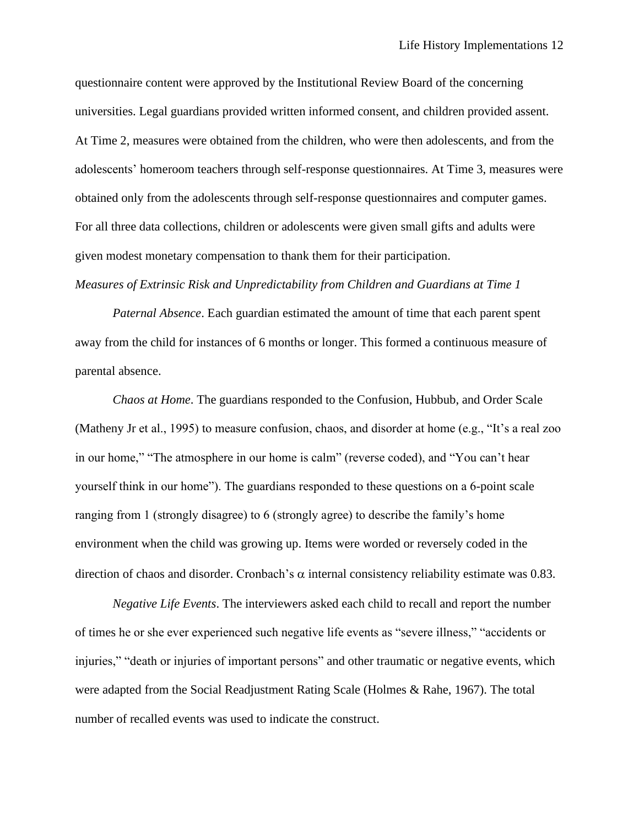questionnaire content were approved by the Institutional Review Board of the concerning universities. Legal guardians provided written informed consent, and children provided assent. At Time 2, measures were obtained from the children, who were then adolescents, and from the adolescents' homeroom teachers through self-response questionnaires. At Time 3, measures were obtained only from the adolescents through self-response questionnaires and computer games. For all three data collections, children or adolescents were given small gifts and adults were given modest monetary compensation to thank them for their participation.

# *Measures of Extrinsic Risk and Unpredictability from Children and Guardians at Time 1*

*Paternal Absence*. Each guardian estimated the amount of time that each parent spent away from the child for instances of 6 months or longer. This formed a continuous measure of parental absence.

*Chaos at Home*. The guardians responded to the Confusion, Hubbub, and Order Scale (Matheny Jr et al., 1995) to measure confusion, chaos, and disorder at home (e.g., "It's a real zoo in our home," "The atmosphere in our home is calm" (reverse coded), and "You can't hear yourself think in our home"). The guardians responded to these questions on a 6-point scale ranging from 1 (strongly disagree) to 6 (strongly agree) to describe the family's home environment when the child was growing up. Items were worded or reversely coded in the direction of chaos and disorder. Cronbach's  $\alpha$  internal consistency reliability estimate was 0.83.

*Negative Life Events*. The interviewers asked each child to recall and report the number of times he or she ever experienced such negative life events as "severe illness," "accidents or injuries," "death or injuries of important persons" and other traumatic or negative events, which were adapted from the Social Readjustment Rating Scale (Holmes & Rahe, 1967). The total number of recalled events was used to indicate the construct.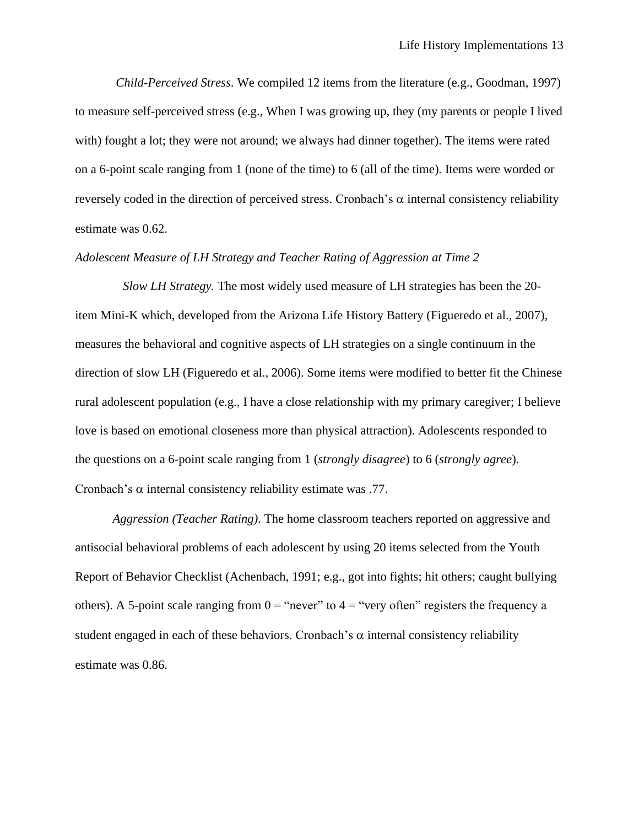*Child-Perceived Stress*. We compiled 12 items from the literature (e.g., Goodman, 1997) to measure self-perceived stress (e.g., When I was growing up, they (my parents or people I lived with) fought a lot; they were not around; we always had dinner together). The items were rated on a 6-point scale ranging from 1 (none of the time) to 6 (all of the time). Items were worded or reversely coded in the direction of perceived stress. Cronbach's  $\alpha$  internal consistency reliability estimate was 0.62.

### *Adolescent Measure of LH Strategy and Teacher Rating of Aggression at Time 2*

*Slow LH Strategy.* The most widely used measure of LH strategies has been the 20 item Mini-K which, developed from the Arizona Life History Battery (Figueredo et al., 2007), measures the behavioral and cognitive aspects of LH strategies on a single continuum in the direction of slow LH (Figueredo et al., 2006). Some items were modified to better fit the Chinese rural adolescent population (e.g., I have a close relationship with my primary caregiver; I believe love is based on emotional closeness more than physical attraction). Adolescents responded to the questions on a 6-point scale ranging from 1 (*strongly disagree*) to 6 (*strongly agree*). Cronbach's  $\alpha$  internal consistency reliability estimate was .77.

*Aggression (Teacher Rating).* The home classroom teachers reported on aggressive and antisocial behavioral problems of each adolescent by using 20 items selected from the Youth Report of Behavior Checklist (Achenbach, 1991; e.g., got into fights; hit others; caught bullying others). A 5-point scale ranging from  $0 =$  "never" to  $4 =$  "very often" registers the frequency a student engaged in each of these behaviors. Cronbach's  $\alpha$  internal consistency reliability estimate was 0.86.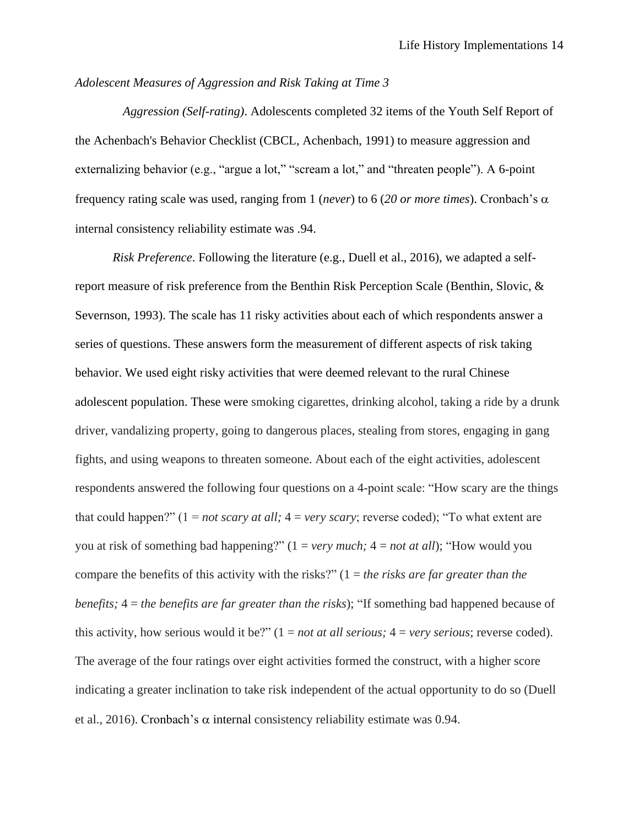# *Adolescent Measures of Aggression and Risk Taking at Time 3*

*Aggression (Self-rating)*. Adolescents completed 32 items of the Youth Self Report of the Achenbach's Behavior Checklist (CBCL, Achenbach, 1991) to measure aggression and externalizing behavior (e.g., "argue a lot," "scream a lot," and "threaten people"). A 6-point frequency rating scale was used, ranging from 1 (*never*) to 6 (20 or *more times*). Cronbach's  $\alpha$ internal consistency reliability estimate was .94.

*Risk Preference*. Following the literature (e.g., Duell et al., 2016), we adapted a selfreport measure of risk preference from the Benthin Risk Perception Scale (Benthin, Slovic, & Severnson, 1993). The scale has 11 risky activities about each of which respondents answer a series of questions. These answers form the measurement of different aspects of risk taking behavior. We used eight risky activities that were deemed relevant to the rural Chinese adolescent population. These were smoking cigarettes, drinking alcohol, taking a ride by a drunk driver, vandalizing property, going to dangerous places, stealing from stores, engaging in gang fights, and using weapons to threaten someone. About each of the eight activities, adolescent respondents answered the following four questions on a 4-point scale: "How scary are the things that could happen?" (1 = *not scary at all;* 4 = *very scary*; reverse coded); "To what extent are you at risk of something bad happening?" (1 = *very much;* 4 = *not at all*); "How would you compare the benefits of this activity with the risks?" (1 = *the risks are far greater than the benefits;* 4 = *the benefits are far greater than the risks*); "If something bad happened because of this activity, how serious would it be?"  $(1 = not at all serious; 4 = very serious; reverse coded)$ . The average of the four ratings over eight activities formed the construct, with a higher score indicating a greater inclination to take risk independent of the actual opportunity to do so (Duell et al., 2016). Cronbach's  $\alpha$  internal consistency reliability estimate was 0.94.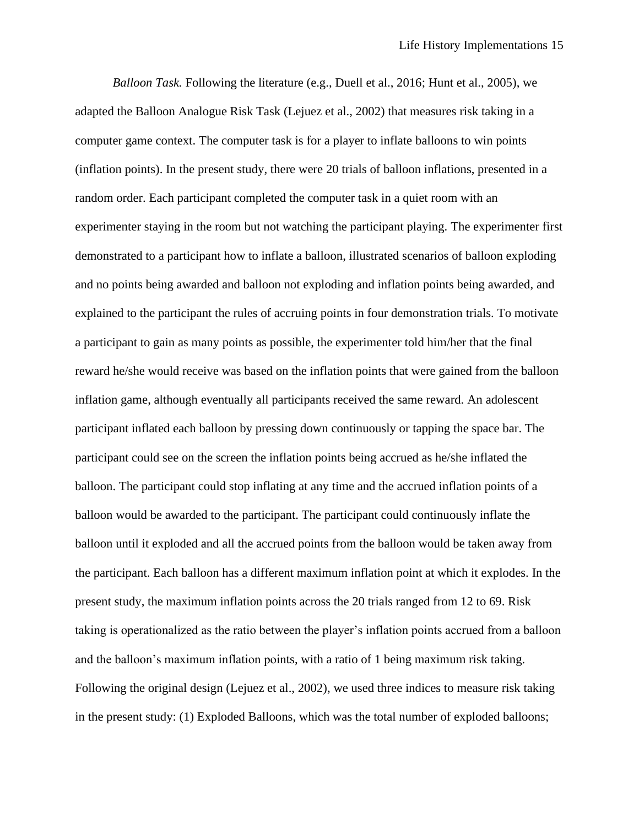*Balloon Task.* Following the literature (e.g., Duell et al., 2016; Hunt et al., 2005), we adapted the Balloon Analogue Risk Task (Lejuez et al., 2002) that measures risk taking in a computer game context. The computer task is for a player to inflate balloons to win points (inflation points). In the present study, there were 20 trials of balloon inflations, presented in a random order. Each participant completed the computer task in a quiet room with an experimenter staying in the room but not watching the participant playing. The experimenter first demonstrated to a participant how to inflate a balloon, illustrated scenarios of balloon exploding and no points being awarded and balloon not exploding and inflation points being awarded, and explained to the participant the rules of accruing points in four demonstration trials. To motivate a participant to gain as many points as possible, the experimenter told him/her that the final reward he/she would receive was based on the inflation points that were gained from the balloon inflation game, although eventually all participants received the same reward. An adolescent participant inflated each balloon by pressing down continuously or tapping the space bar. The participant could see on the screen the inflation points being accrued as he/she inflated the balloon. The participant could stop inflating at any time and the accrued inflation points of a balloon would be awarded to the participant. The participant could continuously inflate the balloon until it exploded and all the accrued points from the balloon would be taken away from the participant. Each balloon has a different maximum inflation point at which it explodes. In the present study, the maximum inflation points across the 20 trials ranged from 12 to 69. Risk taking is operationalized as the ratio between the player's inflation points accrued from a balloon and the balloon's maximum inflation points, with a ratio of 1 being maximum risk taking. Following the original design (Lejuez et al., 2002), we used three indices to measure risk taking in the present study: (1) Exploded Balloons, which was the total number of exploded balloons;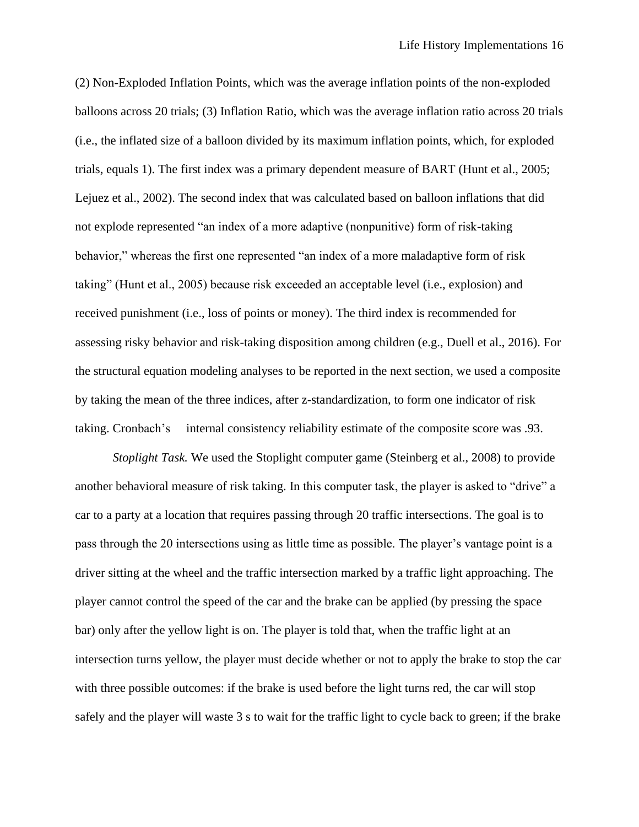(2) Non-Exploded Inflation Points, which was the average inflation points of the non-exploded balloons across 20 trials; (3) Inflation Ratio, which was the average inflation ratio across 20 trials (i.e., the inflated size of a balloon divided by its maximum inflation points, which, for exploded trials, equals 1). The first index was a primary dependent measure of BART (Hunt et al., 2005; Lejuez et al., 2002). The second index that was calculated based on balloon inflations that did not explode represented "an index of a more adaptive (nonpunitive) form of risk-taking behavior," whereas the first one represented "an index of a more maladaptive form of risk taking" (Hunt et al., 2005) because risk exceeded an acceptable level (i.e., explosion) and received punishment (i.e., loss of points or money). The third index is recommended for assessing risky behavior and risk-taking disposition among children (e.g., Duell et al., 2016). For the structural equation modeling analyses to be reported in the next section, we used a composite by taking the mean of the three indices, after z-standardization, to form one indicator of risk taking. Cronbach's internal consistency reliability estimate of the composite score was .93.

*Stoplight Task.* We used the Stoplight computer game (Steinberg et al., 2008) to provide another behavioral measure of risk taking. In this computer task, the player is asked to "drive" a car to a party at a location that requires passing through 20 traffic intersections. The goal is to pass through the 20 intersections using as little time as possible. The player's vantage point is a driver sitting at the wheel and the traffic intersection marked by a traffic light approaching. The player cannot control the speed of the car and the brake can be applied (by pressing the space bar) only after the yellow light is on. The player is told that, when the traffic light at an intersection turns yellow, the player must decide whether or not to apply the brake to stop the car with three possible outcomes: if the brake is used before the light turns red, the car will stop safely and the player will waste 3 s to wait for the traffic light to cycle back to green; if the brake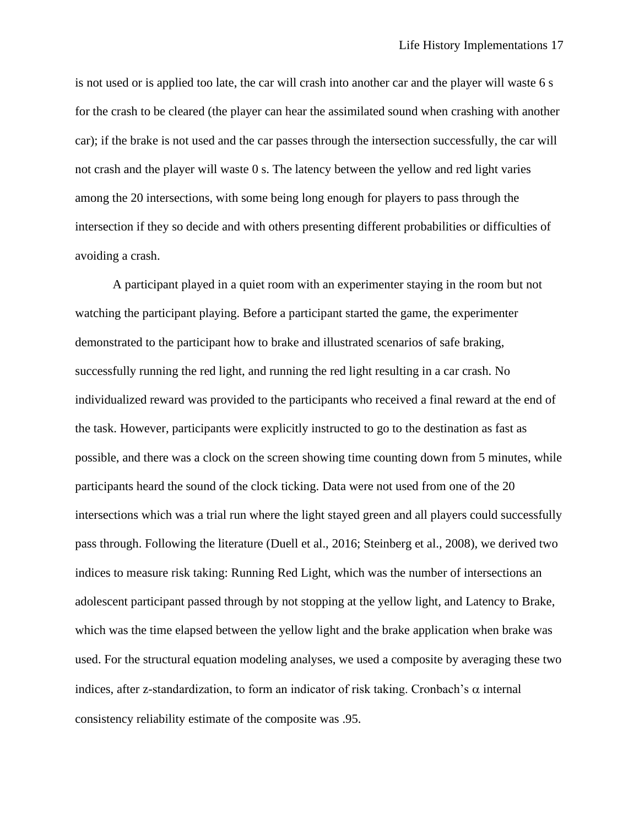is not used or is applied too late, the car will crash into another car and the player will waste 6 s for the crash to be cleared (the player can hear the assimilated sound when crashing with another car); if the brake is not used and the car passes through the intersection successfully, the car will not crash and the player will waste 0 s. The latency between the yellow and red light varies among the 20 intersections, with some being long enough for players to pass through the intersection if they so decide and with others presenting different probabilities or difficulties of avoiding a crash.

A participant played in a quiet room with an experimenter staying in the room but not watching the participant playing. Before a participant started the game, the experimenter demonstrated to the participant how to brake and illustrated scenarios of safe braking, successfully running the red light, and running the red light resulting in a car crash. No individualized reward was provided to the participants who received a final reward at the end of the task. However, participants were explicitly instructed to go to the destination as fast as possible, and there was a clock on the screen showing time counting down from 5 minutes, while participants heard the sound of the clock ticking. Data were not used from one of the 20 intersections which was a trial run where the light stayed green and all players could successfully pass through. Following the literature (Duell et al., 2016; Steinberg et al., 2008), we derived two indices to measure risk taking: Running Red Light, which was the number of intersections an adolescent participant passed through by not stopping at the yellow light, and Latency to Brake, which was the time elapsed between the yellow light and the brake application when brake was used. For the structural equation modeling analyses, we used a composite by averaging these two indices, after z-standardization, to form an indicator of risk taking. Cronbach's  $\alpha$  internal consistency reliability estimate of the composite was .95.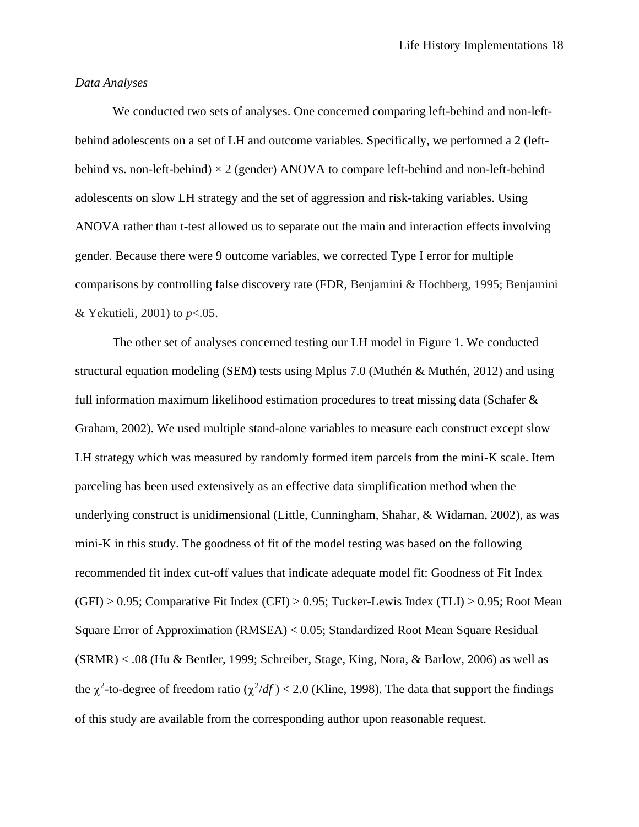# *Data Analyses*

We conducted two sets of analyses. One concerned comparing left-behind and non-leftbehind adolescents on a set of LH and outcome variables. Specifically, we performed a 2 (leftbehind vs. non-left-behind)  $\times$  2 (gender) ANOVA to compare left-behind and non-left-behind adolescents on slow LH strategy and the set of aggression and risk-taking variables. Using ANOVA rather than t-test allowed us to separate out the main and interaction effects involving gender. Because there were 9 outcome variables, we corrected Type I error for multiple comparisons by controlling false discovery rate (FDR, Benjamini & Hochberg, 1995; Benjamini & Yekutieli, 2001) to *p*<.05.

The other set of analyses concerned testing our LH model in Figure 1. We conducted structural equation modeling (SEM) tests using Mplus 7.0 (Muthén & Muthén, 2012) and using full information maximum likelihood estimation procedures to treat missing data (Schafer & Graham, 2002). We used multiple stand-alone variables to measure each construct except slow LH strategy which was measured by randomly formed item parcels from the mini-K scale. Item parceling has been used extensively as an effective data simplification method when the underlying construct is unidimensional (Little, Cunningham, Shahar, & Widaman, 2002), as was mini-K in this study. The goodness of fit of the model testing was based on the following recommended fit index cut-off values that indicate adequate model fit: Goodness of Fit Index  $(GFI) > 0.95$ ; Comparative Fit Index  $(CFI) > 0.95$ ; Tucker-Lewis Index  $(TLI) > 0.95$ ; Root Mean Square Error of Approximation (RMSEA) < 0.05; Standardized Root Mean Square Residual (SRMR) < .08 (Hu & Bentler, 1999; Schreiber, Stage, King, Nora, & Barlow, 2006) as well as the  $\chi^2$ -to-degree of freedom ratio ( $\chi^2/df$ ) < 2.0 (Kline, 1998). The data that support the findings of this study are available from the corresponding author upon reasonable request.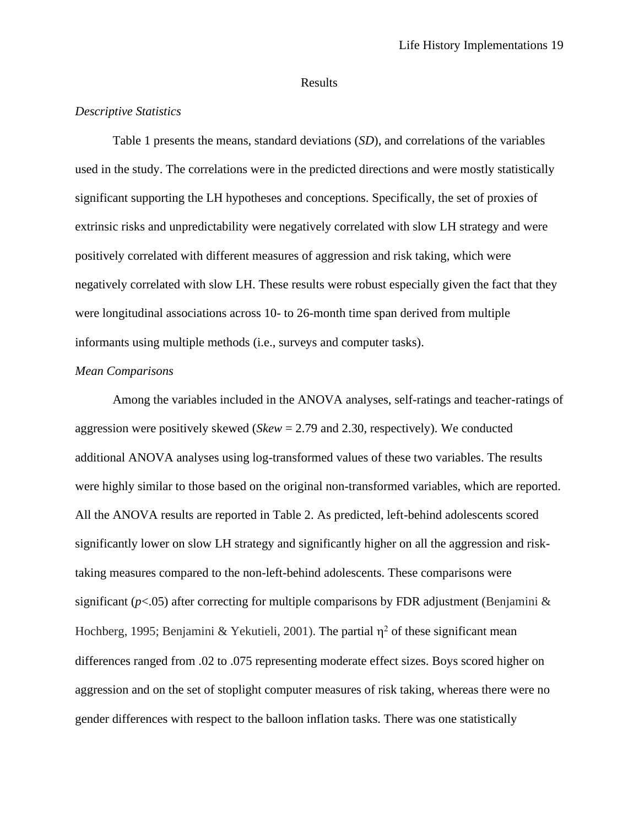### Results

## *Descriptive Statistics*

Table 1 presents the means, standard deviations (*SD*), and correlations of the variables used in the study. The correlations were in the predicted directions and were mostly statistically significant supporting the LH hypotheses and conceptions. Specifically, the set of proxies of extrinsic risks and unpredictability were negatively correlated with slow LH strategy and were positively correlated with different measures of aggression and risk taking, which were negatively correlated with slow LH. These results were robust especially given the fact that they were longitudinal associations across 10- to 26-month time span derived from multiple informants using multiple methods (i.e., surveys and computer tasks).

### *Mean Comparisons*

Among the variables included in the ANOVA analyses, self-ratings and teacher-ratings of aggression were positively skewed (*Skew* = 2.79 and 2.30, respectively). We conducted additional ANOVA analyses using log-transformed values of these two variables. The results were highly similar to those based on the original non-transformed variables, which are reported. All the ANOVA results are reported in Table 2. As predicted, left-behind adolescents scored significantly lower on slow LH strategy and significantly higher on all the aggression and risktaking measures compared to the non-left-behind adolescents. These comparisons were significant ( $p$ <.05) after correcting for multiple comparisons by FDR adjustment (Benjamini  $\&$ Hochberg, 1995; Benjamini & Yekutieli, 2001). The partial  $\eta^2$  of these significant mean differences ranged from .02 to .075 representing moderate effect sizes. Boys scored higher on aggression and on the set of stoplight computer measures of risk taking, whereas there were no gender differences with respect to the balloon inflation tasks. There was one statistically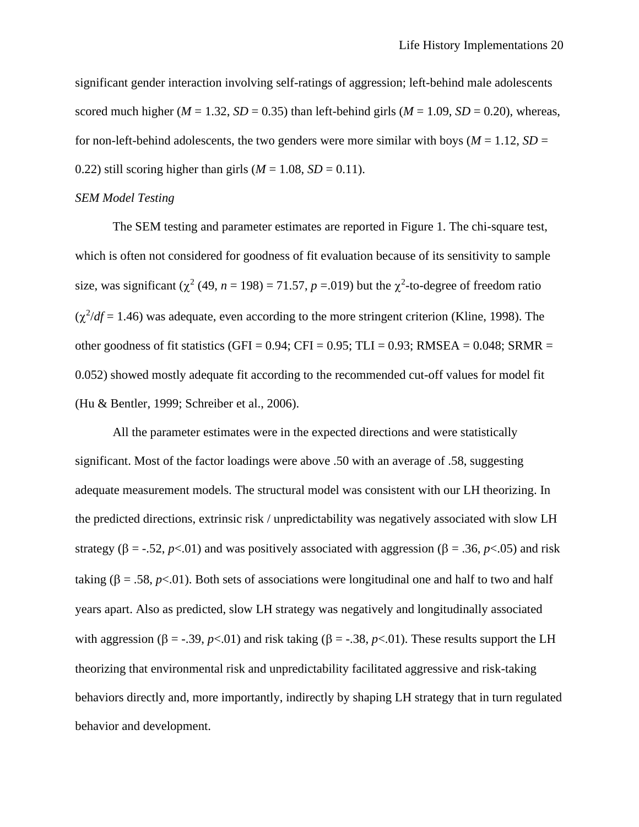significant gender interaction involving self-ratings of aggression; left-behind male adolescents scored much higher ( $M = 1.32$ ,  $SD = 0.35$ ) than left-behind girls ( $M = 1.09$ ,  $SD = 0.20$ ), whereas, for non-left-behind adolescents, the two genders were more similar with boys ( $M = 1.12$ ,  $SD =$ 0.22) still scoring higher than girls  $(M = 1.08, SD = 0.11)$ .

### *SEM Model Testing*

The SEM testing and parameter estimates are reported in Figure 1. The chi-square test, which is often not considered for goodness of fit evaluation because of its sensitivity to sample size, was significant  $(\chi^2 (49, n = 198) = 71.57, p = .019)$  but the  $\chi^2$ -to-degree of freedom ratio  $(\chi^2/df = 1.46)$  was adequate, even according to the more stringent criterion (Kline, 1998). The other goodness of fit statistics (GFI =  $0.94$ ; CFI =  $0.95$ ; TLI =  $0.93$ ; RMSEA =  $0.048$ ; SRMR = 0.052) showed mostly adequate fit according to the recommended cut-off values for model fit (Hu & Bentler, 1999; Schreiber et al., 2006).

All the parameter estimates were in the expected directions and were statistically significant. Most of the factor loadings were above .50 with an average of .58, suggesting adequate measurement models. The structural model was consistent with our LH theorizing. In the predicted directions, extrinsic risk / unpredictability was negatively associated with slow LH strategy ( $\beta = -0.52$ ,  $p < 0.01$ ) and was positively associated with aggression ( $\beta = 0.36$ ,  $p < 0.05$ ) and risk taking ( $\beta = .58$ ,  $p < .01$ ). Both sets of associations were longitudinal one and half to two and half years apart. Also as predicted, slow LH strategy was negatively and longitudinally associated with aggression ( $\beta = -0.39$ ,  $p < 0.01$ ) and risk taking ( $\beta = -0.38$ ,  $p < 0.01$ ). These results support the LH theorizing that environmental risk and unpredictability facilitated aggressive and risk-taking behaviors directly and, more importantly, indirectly by shaping LH strategy that in turn regulated behavior and development.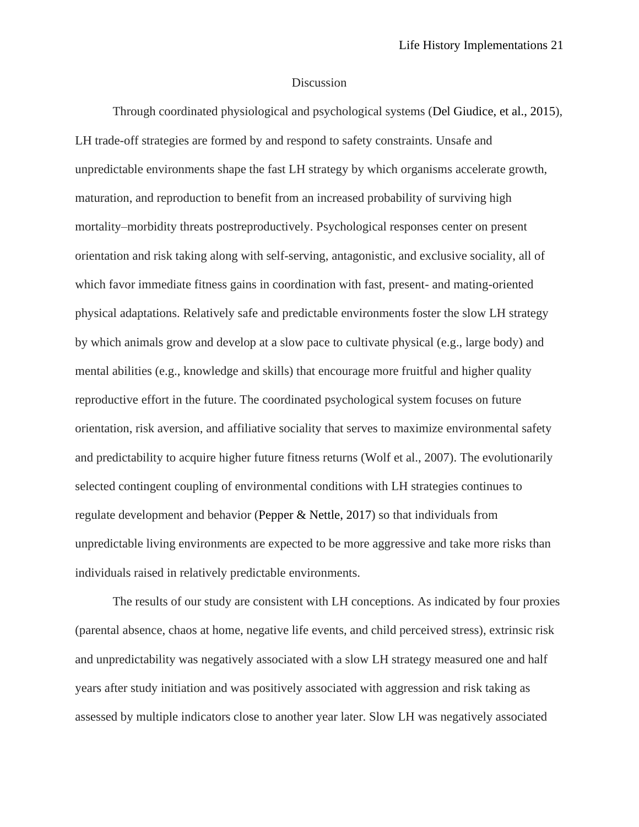### Discussion

Through coordinated physiological and psychological systems (Del Giudice, et al., 2015), LH trade-off strategies are formed by and respond to safety constraints. Unsafe and unpredictable environments shape the fast LH strategy by which organisms accelerate growth, maturation, and reproduction to benefit from an increased probability of surviving high mortality–morbidity threats postreproductively. Psychological responses center on present orientation and risk taking along with self-serving, antagonistic, and exclusive sociality, all of which favor immediate fitness gains in coordination with fast, present- and mating-oriented physical adaptations. Relatively safe and predictable environments foster the slow LH strategy by which animals grow and develop at a slow pace to cultivate physical (e.g., large body) and mental abilities (e.g., knowledge and skills) that encourage more fruitful and higher quality reproductive effort in the future. The coordinated psychological system focuses on future orientation, risk aversion, and affiliative sociality that serves to maximize environmental safety and predictability to acquire higher future fitness returns (Wolf et al., 2007). The evolutionarily selected contingent coupling of environmental conditions with LH strategies continues to regulate development and behavior (Pepper & Nettle, 2017) so that individuals from unpredictable living environments are expected to be more aggressive and take more risks than individuals raised in relatively predictable environments.

The results of our study are consistent with LH conceptions. As indicated by four proxies (parental absence, chaos at home, negative life events, and child perceived stress), extrinsic risk and unpredictability was negatively associated with a slow LH strategy measured one and half years after study initiation and was positively associated with aggression and risk taking as assessed by multiple indicators close to another year later. Slow LH was negatively associated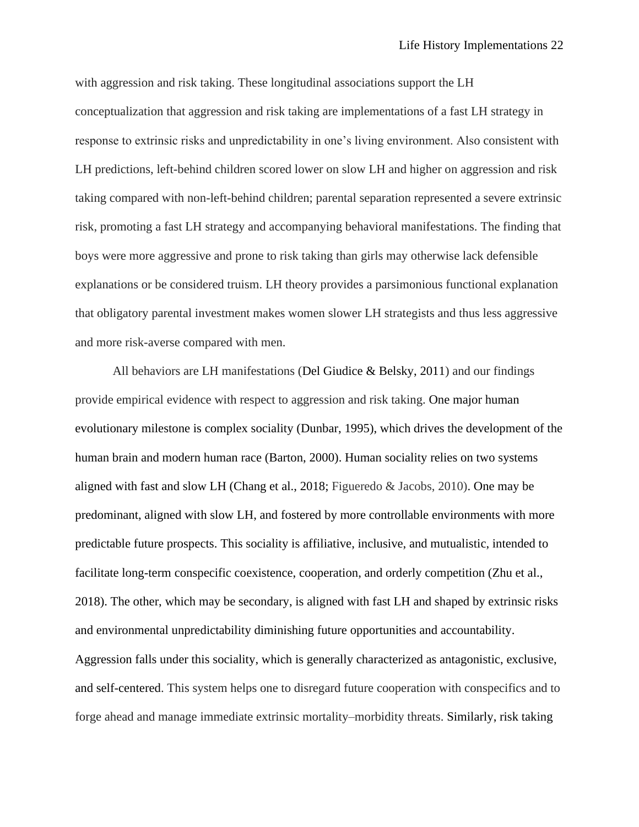with aggression and risk taking. These longitudinal associations support the LH conceptualization that aggression and risk taking are implementations of a fast LH strategy in response to extrinsic risks and unpredictability in one's living environment. Also consistent with LH predictions, left-behind children scored lower on slow LH and higher on aggression and risk taking compared with non-left-behind children; parental separation represented a severe extrinsic risk, promoting a fast LH strategy and accompanying behavioral manifestations. The finding that boys were more aggressive and prone to risk taking than girls may otherwise lack defensible explanations or be considered truism. LH theory provides a parsimonious functional explanation that obligatory parental investment makes women slower LH strategists and thus less aggressive and more risk-averse compared with men.

All behaviors are LH manifestations (Del Giudice & Belsky, 2011) and our findings provide empirical evidence with respect to aggression and risk taking. One major human evolutionary milestone is complex sociality (Dunbar, 1995), which drives the development of the human brain and modern human race (Barton, 2000). Human sociality relies on two systems aligned with fast and slow LH (Chang et al., 2018; Figueredo & Jacobs, 2010). One may be predominant, aligned with slow LH, and fostered by more controllable environments with more predictable future prospects. This sociality is affiliative, inclusive, and mutualistic, intended to facilitate long-term conspecific coexistence, cooperation, and orderly competition (Zhu et al., 2018). The other, which may be secondary, is aligned with fast LH and shaped by extrinsic risks and environmental unpredictability diminishing future opportunities and accountability. Aggression falls under this sociality, which is generally characterized as antagonistic, exclusive, and self-centered. This system helps one to disregard future cooperation with conspecifics and to forge ahead and manage immediate extrinsic mortality–morbidity threats. Similarly, risk taking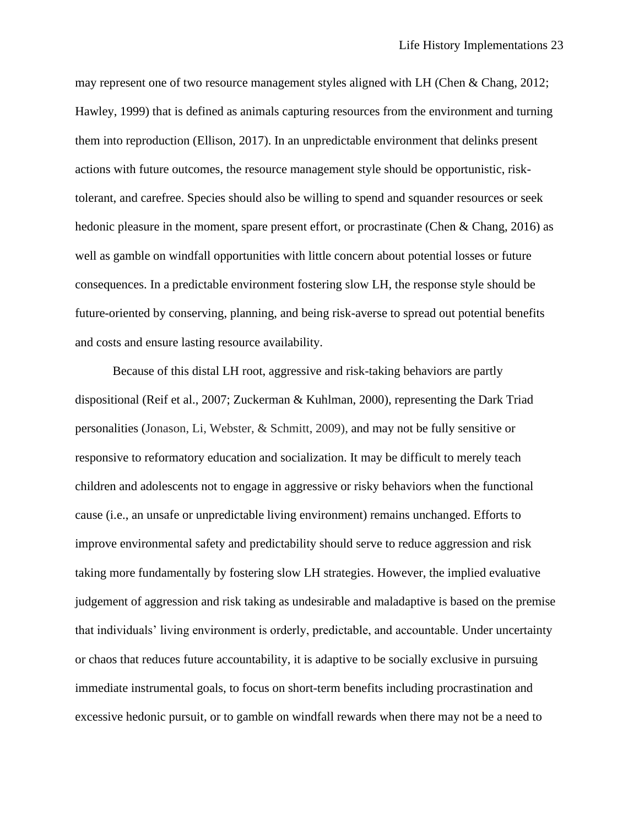may represent one of two resource management styles aligned with LH (Chen & Chang, 2012; Hawley, 1999) that is defined as animals capturing resources from the environment and turning them into reproduction (Ellison, 2017). In an unpredictable environment that delinks present actions with future outcomes, the resource management style should be opportunistic, risktolerant, and carefree. Species should also be willing to spend and squander resources or seek hedonic pleasure in the moment, spare present effort, or procrastinate (Chen & Chang, 2016) as well as gamble on windfall opportunities with little concern about potential losses or future consequences. In a predictable environment fostering slow LH, the response style should be future-oriented by conserving, planning, and being risk-averse to spread out potential benefits and costs and ensure lasting resource availability.

Because of this distal LH root, aggressive and risk-taking behaviors are partly dispositional (Reif et al., 2007; Zuckerman & Kuhlman, 2000), representing the Dark Triad personalities (Jonason, Li, Webster, & Schmitt, 2009), and may not be fully sensitive or responsive to reformatory education and socialization. It may be difficult to merely teach children and adolescents not to engage in aggressive or risky behaviors when the functional cause (i.e., an unsafe or unpredictable living environment) remains unchanged. Efforts to improve environmental safety and predictability should serve to reduce aggression and risk taking more fundamentally by fostering slow LH strategies. However, the implied evaluative judgement of aggression and risk taking as undesirable and maladaptive is based on the premise that individuals' living environment is orderly, predictable, and accountable. Under uncertainty or chaos that reduces future accountability, it is adaptive to be socially exclusive in pursuing immediate instrumental goals, to focus on short-term benefits including procrastination and excessive hedonic pursuit, or to gamble on windfall rewards when there may not be a need to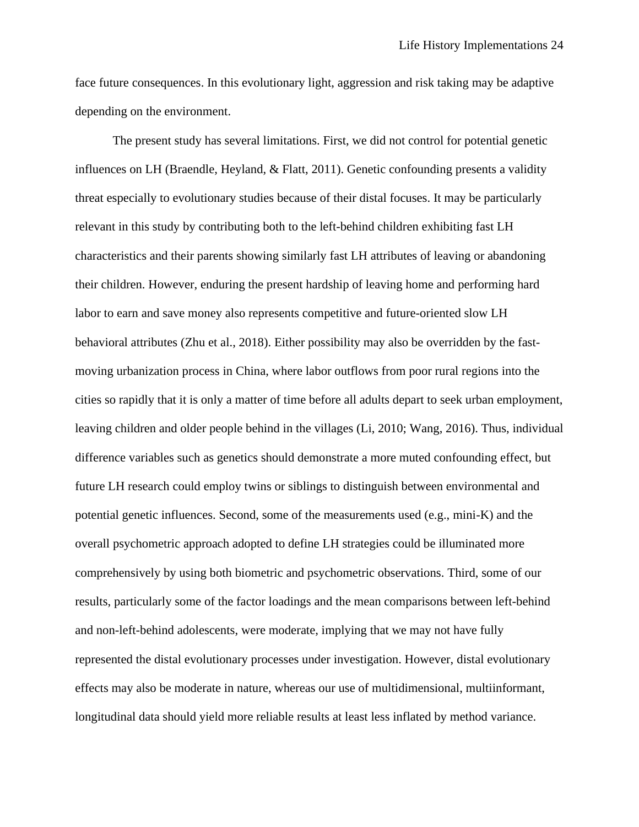face future consequences. In this evolutionary light, aggression and risk taking may be adaptive depending on the environment.

The present study has several limitations. First, we did not control for potential genetic influences on LH (Braendle, Heyland, & Flatt, 2011). Genetic confounding presents a validity threat especially to evolutionary studies because of their distal focuses. It may be particularly relevant in this study by contributing both to the left-behind children exhibiting fast LH characteristics and their parents showing similarly fast LH attributes of leaving or abandoning their children. However, enduring the present hardship of leaving home and performing hard labor to earn and save money also represents competitive and future-oriented slow LH behavioral attributes (Zhu et al., 2018). Either possibility may also be overridden by the fastmoving urbanization process in China, where labor outflows from poor rural regions into the cities so rapidly that it is only a matter of time before all adults depart to seek urban employment, leaving children and older people behind in the villages (Li, 2010; Wang, 2016). Thus, individual difference variables such as genetics should demonstrate a more muted confounding effect, but future LH research could employ twins or siblings to distinguish between environmental and potential genetic influences. Second, some of the measurements used (e.g., mini-K) and the overall psychometric approach adopted to define LH strategies could be illuminated more comprehensively by using both biometric and psychometric observations. Third, some of our results, particularly some of the factor loadings and the mean comparisons between left-behind and non-left-behind adolescents, were moderate, implying that we may not have fully represented the distal evolutionary processes under investigation. However, distal evolutionary effects may also be moderate in nature, whereas our use of multidimensional, multiinformant, longitudinal data should yield more reliable results at least less inflated by method variance.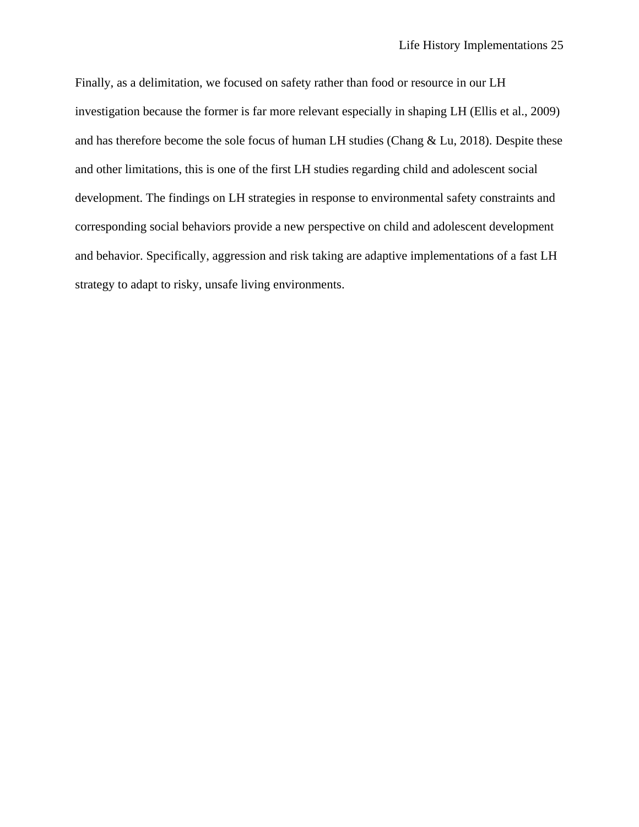Finally, as a delimitation, we focused on safety rather than food or resource in our LH investigation because the former is far more relevant especially in shaping LH (Ellis et al., 2009) and has therefore become the sole focus of human LH studies (Chang & Lu, 2018). Despite these and other limitations, this is one of the first LH studies regarding child and adolescent social development. The findings on LH strategies in response to environmental safety constraints and corresponding social behaviors provide a new perspective on child and adolescent development and behavior. Specifically, aggression and risk taking are adaptive implementations of a fast LH strategy to adapt to risky, unsafe living environments.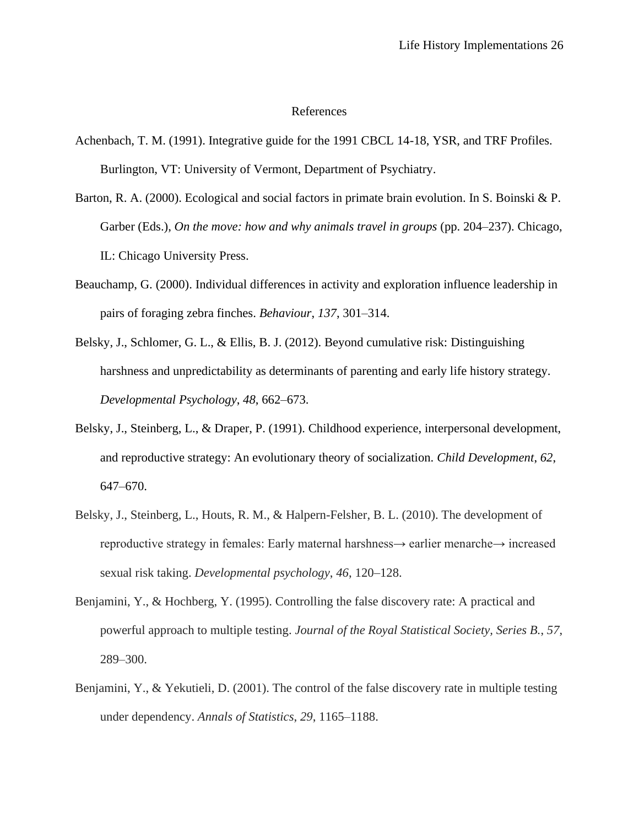# References

- Achenbach, T. M. (1991). Integrative guide for the 1991 CBCL 14-18, YSR, and TRF Profiles. Burlington, VT: University of Vermont, Department of Psychiatry.
- Barton, R. A. (2000). Ecological and social factors in primate brain evolution. In S. Boinski & P. Garber (Eds.), *On the move: how and why animals travel in groups* (pp. 204–237). Chicago, IL: Chicago University Press.
- Beauchamp, G. (2000). Individual differences in activity and exploration influence leadership in pairs of foraging zebra finches. *Behaviour*, *137*, 301–314.
- Belsky, J., Schlomer, G. L., & Ellis, B. J. (2012). Beyond cumulative risk: Distinguishing harshness and unpredictability as determinants of parenting and early life history strategy. *Developmental Psychology*, *48*, 662–673.
- Belsky, J., Steinberg, L., & Draper, P. (1991). Childhood experience, interpersonal development, and reproductive strategy: An evolutionary theory of socialization. *Child Development*, *62*, 647–670.
- Belsky, J., Steinberg, L., Houts, R. M., & Halpern-Felsher, B. L. (2010). The development of reproductive strategy in females: Early maternal harshness→ earlier menarche→ increased sexual risk taking. *Developmental psychology*, *46*, 120–128.
- Benjamini, Y., & Hochberg, Y. (1995). Controlling the false discovery rate: A practical and powerful approach to multiple testing. *[Journal of the Royal Statistical Society, Series B.](https://en.wikipedia.org/wiki/Journal_of_the_Royal_Statistical_Society,_Series_B)*, *57*, 289–300.
- Benjamini, Y., & Yekutieli, D. (2001). The control of the false discovery rate in multiple testing under dependency. *Annals of Statistics*, *29*, 1165–1188.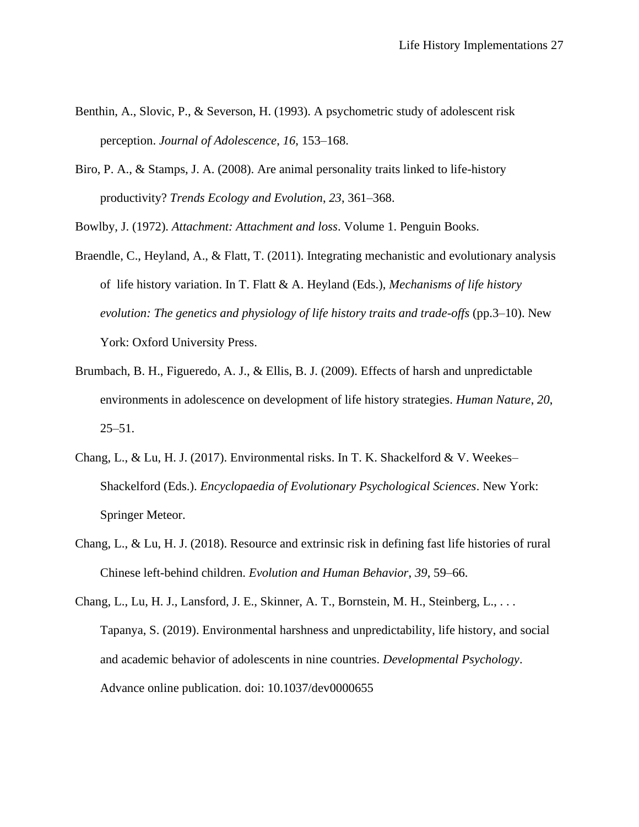- Benthin, A., Slovic, P., & Severson, H. (1993). A psychometric study of adolescent risk perception. *Journal of Adolescence*, *16*, 153–168.
- Biro, P. A., & Stamps, J. A. (2008). Are animal personality traits linked to life-history productivity? *Trends Ecology and Evolution*, *23*, 361–368.

Bowlby, J. (1972). *Attachment: Attachment and loss*. Volume 1. Penguin Books.

- Braendle, C., Heyland, A., & Flatt, T. (2011). Integrating mechanistic and evolutionary analysis of life history variation. In T. Flatt & A. Heyland (Eds.), *Mechanisms of life history evolution: The genetics and physiology of life history traits and trade-offs* (pp.3–10). New York: Oxford University Press.
- Brumbach, B. H., Figueredo, A. J., & Ellis, B. J. (2009). Effects of harsh and unpredictable environments in adolescence on development of life history strategies. *Human Nature*, *20*,  $25 - 51$ .
- Chang, L., & Lu, H. J. (2017). Environmental risks. In T. K. Shackelford & V. Weekes– Shackelford (Eds.). *Encyclopaedia of Evolutionary Psychological Sciences*. New York: Springer Meteor.
- Chang, L., & Lu, H. J. (2018). Resource and extrinsic risk in defining fast life histories of rural Chinese left-behind children. *Evolution and Human Behavior*, *39*, 59–66.
- Chang, L., Lu, H. J., Lansford, J. E., Skinner, A. T., Bornstein, M. H., Steinberg, L., . . . Tapanya, S. (2019). Environmental harshness and unpredictability, life history, and social and academic behavior of adolescents in nine countries. *Developmental Psychology*. Advance online publication. doi: 10.1037/dev0000655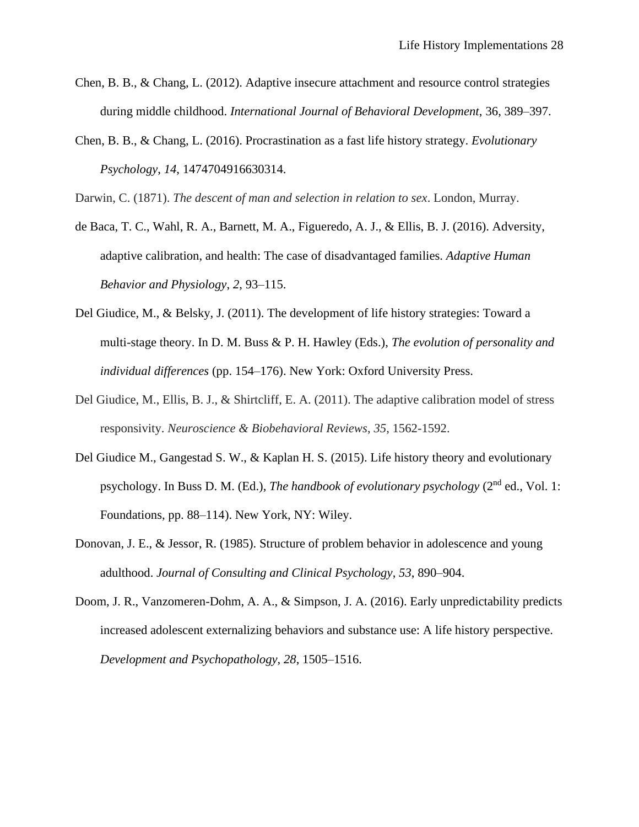- Chen, B. B., & Chang, L. (2012). Adaptive insecure attachment and resource control strategies during middle childhood. *International Journal of Behavioral Development*, 36, 389–397.
- Chen, B. B., & Chang, L. (2016). Procrastination as a fast life history strategy. *Evolutionary Psychology*, *14*, 1474704916630314.

Darwin, C. (1871). *The descent of man and selection in relation to sex*. London, Murray.

- de Baca, T. C., Wahl, R. A., Barnett, M. A., Figueredo, A. J., & Ellis, B. J. (2016). Adversity, adaptive calibration, and health: The case of disadvantaged families. *Adaptive Human Behavior and Physiology*, *2*, 93–115.
- Del Giudice, M., & Belsky, J. (2011). The development of life history strategies: Toward a multi-stage theory. In D. M. Buss & P. H. Hawley (Eds.), *The evolution of personality and individual differences* (pp. 154–176). New York: Oxford University Press.
- Del Giudice, M., Ellis, B. J., & Shirtcliff, E. A. (2011). The adaptive calibration model of stress responsivity. *Neuroscience & Biobehavioral Reviews*, *35*, 1562-1592.
- Del Giudice M., Gangestad S. W., & Kaplan H. S. (2015). Life history theory and evolutionary psychology. In Buss D. M. (Ed.), *The handbook of evolutionary psychology* (2nd ed., Vol. 1: Foundations, pp. 88–114). New York, NY: Wiley.
- Donovan, J. E., & Jessor, R. (1985). Structure of problem behavior in adolescence and young adulthood. *Journal of Consulting and Clinical Psychology*, *53*, 890–904.
- Doom, J. R., Vanzomeren-Dohm, A. A., & Simpson, J. A. (2016). Early unpredictability predicts increased adolescent externalizing behaviors and substance use: A life history perspective. *Development and Psychopathology*, *28*, 1505–1516.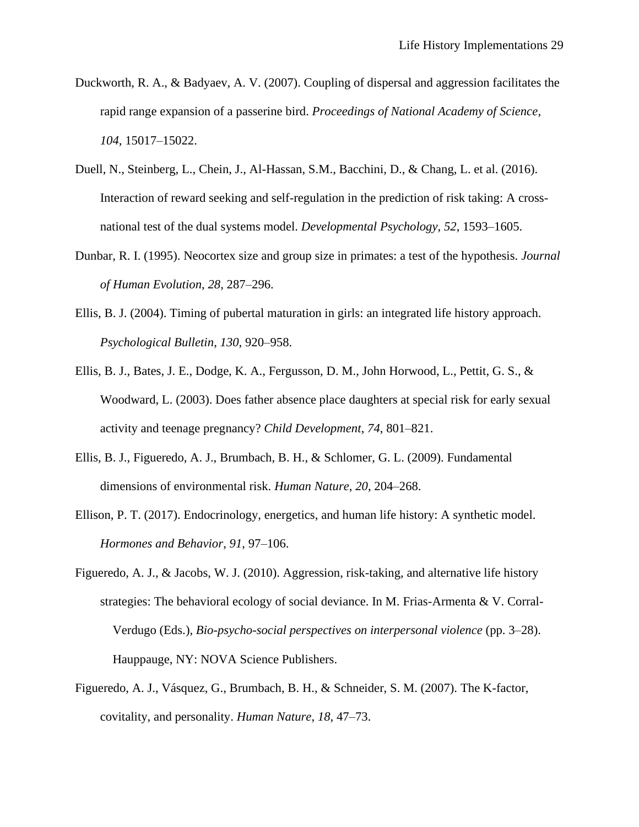- Duckworth, R. A., & Badyaev, A. V. (2007). Coupling of dispersal and aggression facilitates the rapid range expansion of a passerine bird. *Proceedings of National Academy of Science*, *104*, 15017–15022.
- Duell, N., Steinberg, L., Chein, J., Al-Hassan, S.M., Bacchini, D., & Chang, L. et al. (2016). Interaction of reward seeking and self-regulation in the prediction of risk taking: A crossnational test of the dual systems model. *Developmental Psychology*, *52*, 1593–1605.
- Dunbar, R. I. (1995). Neocortex size and group size in primates: a test of the hypothesis. *Journal of Human Evolution*, *28*, 287–296.
- Ellis, B. J. (2004). Timing of pubertal maturation in girls: an integrated life history approach. *Psychological Bulletin*, *130*, 920–958.
- Ellis, B. J., Bates, J. E., Dodge, K. A., Fergusson, D. M., John Horwood, L., Pettit, G. S., & Woodward, L. (2003). Does father absence place daughters at special risk for early sexual activity and teenage pregnancy? *Child Development*, *74*, 801–821.
- Ellis, B. J., Figueredo, A. J., Brumbach, B. H., & Schlomer, G. L. (2009). Fundamental dimensions of environmental risk. *Human Nature*, *20*, 204–268.
- Ellison, P. T. (2017). Endocrinology, energetics, and human life history: A synthetic model. *Hormones and Behavior*, *91*, 97–106.
- Figueredo, A. J., & Jacobs, W. J. (2010). Aggression, risk-taking, and alternative life history strategies: The behavioral ecology of social deviance. In M. Frias-Armenta & V. Corral-Verdugo (Eds.), *Bio-psycho-social perspectives on interpersonal violence* (pp. 3–28). Hauppauge, NY: NOVA Science Publishers.
- Figueredo, A. J., Vásquez, G., Brumbach, B. H., & Schneider, S. M. (2007). The K-factor, covitality, and personality. *Human Nature*, *18*, 47–73.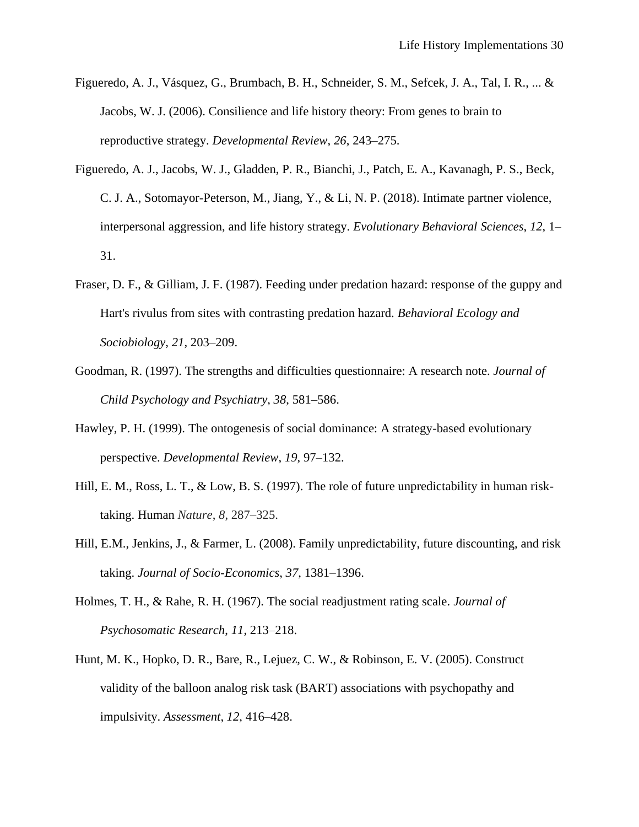- Figueredo, A. J., Vásquez, G., Brumbach, B. H., Schneider, S. M., Sefcek, J. A., Tal, I. R., ... & Jacobs, W. J. (2006). Consilience and life history theory: From genes to brain to reproductive strategy. *Developmental Review*, *26*, 243–275.
- Figueredo, A. J., Jacobs, W. J., Gladden, P. R., Bianchi, J., Patch, E. A., Kavanagh, P. S., Beck, C. J. A., Sotomayor-Peterson, M., Jiang, Y., & Li, N. P. (2018). Intimate partner violence, interpersonal aggression, and life history strategy. *Evolutionary Behavioral Sciences*, *12*, 1– 31.
- Fraser, D. F., & Gilliam, J. F. (1987). Feeding under predation hazard: response of the guppy and Hart's rivulus from sites with contrasting predation hazard. *Behavioral Ecology and Sociobiology*, *21*, 203–209.
- Goodman, R. (1997). The strengths and difficulties questionnaire: A research note. *Journal of Child Psychology and Psychiatry*, *38*, 581–586.
- Hawley, P. H. (1999). The ontogenesis of social dominance: A strategy-based evolutionary perspective. *Developmental Review*, *19*, 97–132.
- Hill, E. M., Ross, L. T., & Low, B. S. (1997). The role of future unpredictability in human risktaking. Human *Nature*, *8*, 287–325.
- Hill, E.M., Jenkins, J., & Farmer, L. (2008). Family unpredictability, future discounting, and risk taking. *Journal of Socio-Economics*, *37*, 1381–1396.
- Holmes, T. H., & Rahe, R. H. (1967). The social readjustment rating scale. *Journal of Psychosomatic Research*, *11*, 213–218.
- Hunt, M. K., Hopko, D. R., Bare, R., Lejuez, C. W., & Robinson, E. V. (2005). Construct validity of the balloon analog risk task (BART) associations with psychopathy and impulsivity. *Assessment*, *12*, 416–428.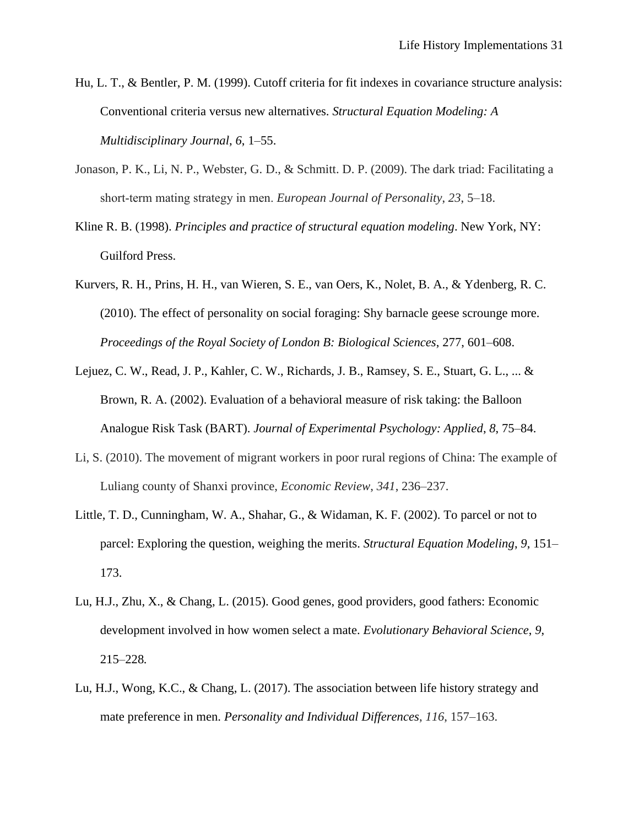- Hu, L. T., & Bentler, P. M. (1999). Cutoff criteria for fit indexes in covariance structure analysis: Conventional criteria versus new alternatives. *Structural Equation Modeling: A Multidisciplinary Journal*, *6*, 1–55.
- Jonason, P. K., Li, N. P., Webster, G. D., & Schmitt. D. P. (2009). The dark triad: Facilitating a short‐term mating strategy in men. *European Journal of Personality*, *23*, 5–18.
- Kline R. B. (1998). *Principles and practice of structural equation modeling*. New York, NY: Guilford Press.
- Kurvers, R. H., Prins, H. H., van Wieren, S. E., van Oers, K., Nolet, B. A., & Ydenberg, R. C. (2010). The effect of personality on social foraging: Shy barnacle geese scrounge more. *Proceedings of the Royal Society of London B: Biological Sciences*, 277, 601–608.
- Lejuez, C. W., Read, J. P., Kahler, C. W., Richards, J. B., Ramsey, S. E., Stuart, G. L., ... & Brown, R. A. (2002). Evaluation of a behavioral measure of risk taking: the Balloon Analogue Risk Task (BART). *Journal of Experimental Psychology: Applied*, *8*, 75–84.
- Li, S. (2010). The movement of migrant workers in poor rural regions of China: The example of Luliang county of Shanxi province, *Economic Review*, *341*, 236–237.
- Little, T. D., Cunningham, W. A., Shahar, G., & Widaman, K. F. (2002). To parcel or not to parcel: Exploring the question, weighing the merits. *Structural Equation Modeling*, *9*, 151– 173.
- Lu, H.J., Zhu, X., & Chang, L. (2015). Good genes, good providers, good fathers: Economic development involved in how women select a mate. *Evolutionary Behavioral Science*, *9*, 215–228*.*
- Lu, H.J., Wong, K.C., & Chang, L. (2017). The association between life history strategy and mate preference in men. *Personality and Individual Differences*, *116*, 157–163.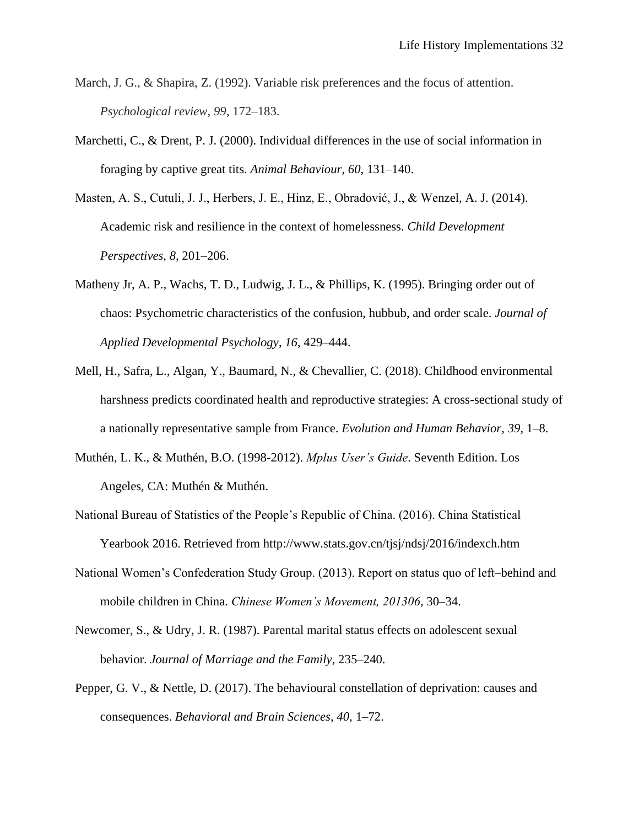- March, J. G., & Shapira, Z. (1992). Variable risk preferences and the focus of attention. *Psychological review*, *99*, 172–183.
- Marchetti, C., & Drent, P. J. (2000). Individual differences in the use of social information in foraging by captive great tits. *Animal Behaviour*, *60*, 131–140.
- Masten, A. S., Cutuli, J. J., Herbers, J. E., Hinz, E., Obradović, J., & Wenzel, A. J. (2014). Academic risk and resilience in the context of homelessness. *Child Development Perspectives*, *8*, 201–206.
- Matheny Jr, A. P., Wachs, T. D., Ludwig, J. L., & Phillips, K. (1995). Bringing order out of chaos: Psychometric characteristics of the confusion, hubbub, and order scale. *Journal of Applied Developmental Psychology*, *16*, 429–444.
- Mell, H., Safra, L., Algan, Y., Baumard, N., & Chevallier, C. (2018). Childhood environmental harshness predicts coordinated health and reproductive strategies: A cross-sectional study of a nationally representative sample from France. *Evolution and Human Behavior*, *39*, 1–8.
- Muthén, L. K., & Muthén, B.O. (1998-2012). *Mplus User's Guide*. Seventh Edition. Los Angeles, CA: Muthén & Muthén.
- National Bureau of Statistics of the People's Republic of China. (2016). China Statistical Yearbook 2016. Retrieved from http://www.stats.gov.cn/tjsj/ndsj/2016/indexch.htm
- National Women's Confederation Study Group. (2013). Report on status quo of left–behind and mobile children in China. *Chinese Women's Movement, 201306*, 30–34.
- Newcomer, S., & Udry, J. R. (1987). Parental marital status effects on adolescent sexual behavior. *Journal of Marriage and the Family*, 235–240.
- Pepper, G. V., & Nettle, D. (2017). The behavioural constellation of deprivation: causes and consequences. *Behavioral and Brain Sciences*, *40*, 1–72.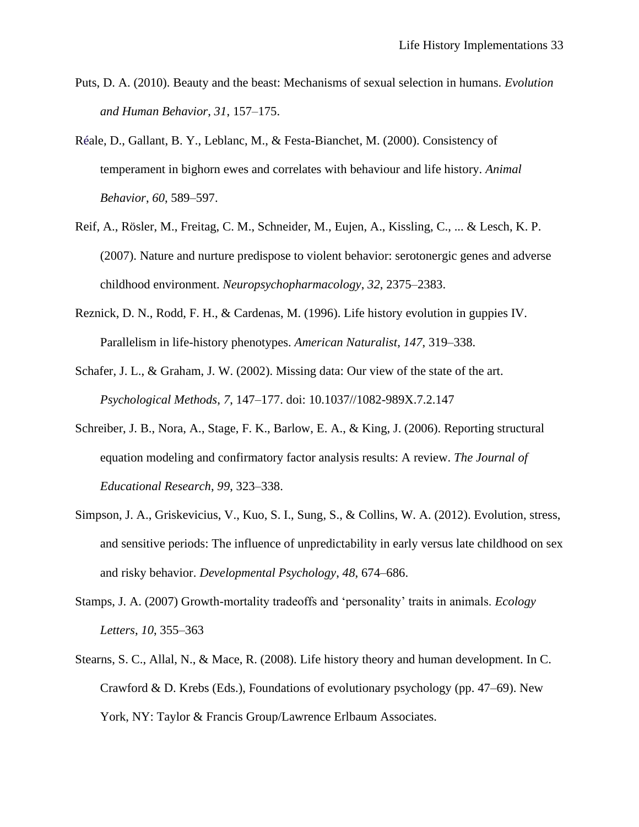- Puts, D. A. (2010). Beauty and the beast: Mechanisms of sexual selection in humans. *Evolution and Human Behavior*, *31*, 157–175.
- Réale, D., Gallant, B. Y., Leblanc, M., & Festa-Bianchet, M. (2000). Consistency of temperament in bighorn ewes and correlates with behaviour and life history. *Animal Behavior*, *60*, 589–597.
- Reif, A., Rösler, M., Freitag, C. M., Schneider, M., Eujen, A., Kissling, C., ... & Lesch, K. P. (2007). Nature and nurture predispose to violent behavior: serotonergic genes and adverse childhood environment. *Neuropsychopharmacology*, *32*, 2375–2383.
- Reznick, D. N., Rodd, F. H., & Cardenas, M. (1996). Life history evolution in guppies IV. Parallelism in life-history phenotypes. *American Naturalist*, *147*, 319–338.
- Schafer, J. L., & Graham, J. W. (2002). Missing data: Our view of the state of the art. *Psychological Methods*, *7*, 147–177. doi: 10.1037//1082-989X.7.2.147
- Schreiber, J. B., Nora, A., Stage, F. K., Barlow, E. A., & King, J. (2006). Reporting structural equation modeling and confirmatory factor analysis results: A review. *The Journal of Educational Research*, *99*, 323–338.
- Simpson, J. A., Griskevicius, V., Kuo, S. I., Sung, S., & Collins, W. A. (2012). Evolution, stress, and sensitive periods: The influence of unpredictability in early versus late childhood on sex and risky behavior. *Developmental Psychology*, *48*, 674–686.
- Stamps, J. A. (2007) Growth-mortality tradeoffs and 'personality' traits in animals. *Ecology Letters*, *10*, 355–363
- Stearns, S. C., Allal, N., & Mace, R. (2008). Life history theory and human development. In C. Crawford & D. Krebs (Eds.), Foundations of evolutionary psychology (pp. 47–69). New York, NY: Taylor & Francis Group/Lawrence Erlbaum Associates.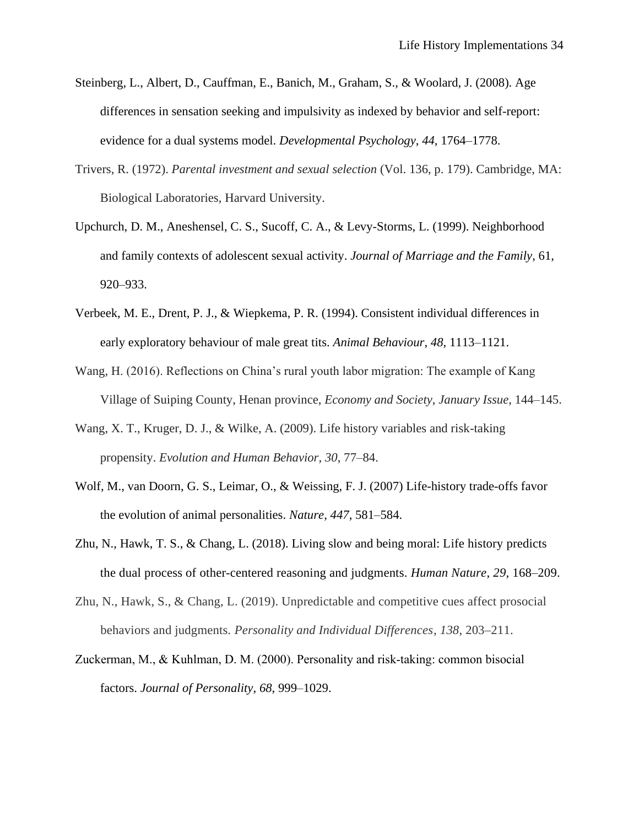- Steinberg, L., Albert, D., Cauffman, E., Banich, M., Graham, S., & Woolard, J. (2008). Age differences in sensation seeking and impulsivity as indexed by behavior and self-report: evidence for a dual systems model. *Developmental Psychology*, *44*, 1764–1778.
- Trivers, R. (1972). *Parental investment and sexual selection* (Vol. 136, p. 179). Cambridge, MA: Biological Laboratories, Harvard University.
- Upchurch, D. M., Aneshensel, C. S., Sucoff, C. A., & Levy-Storms, L. (1999). Neighborhood and family contexts of adolescent sexual activity. *Journal of Marriage and the Family*, 61, 920–933.
- Verbeek, M. E., Drent, P. J., & Wiepkema, P. R. (1994). Consistent individual differences in early exploratory behaviour of male great tits. *Animal Behaviour*, *48*, 1113–1121.
- Wang, H. (2016). Reflections on China's rural youth labor migration: The example of Kang Village of Suiping County, Henan province, *Economy and Society*, *January Issue*, 144–145.
- Wang, X. T., Kruger, D. J., & Wilke, A. (2009). Life history variables and risk-taking propensity. *Evolution and Human Behavior*, *30*, 77–84.
- Wolf, M., van Doorn, G. S., Leimar, O., & Weissing, F. J. (2007) Life-history trade-offs favor the evolution of animal personalities. *Nature*, *447*, 581–584.
- Zhu, N., Hawk, T. S., & Chang, L. (2018). Living slow and being moral: Life history predicts the dual process of other-centered reasoning and judgments. *Human Nature*, *29*, 168–209.
- Zhu, N., Hawk, S., & Chang, L. (2019). Unpredictable and competitive cues affect prosocial behaviors and judgments. *Personality and Individual Differences*, *138*, 203–211.
- Zuckerman, M., & Kuhlman, D. M. (2000). Personality and risk-taking: common bisocial factors. *Journal of Personality*, *68*, 999–1029.